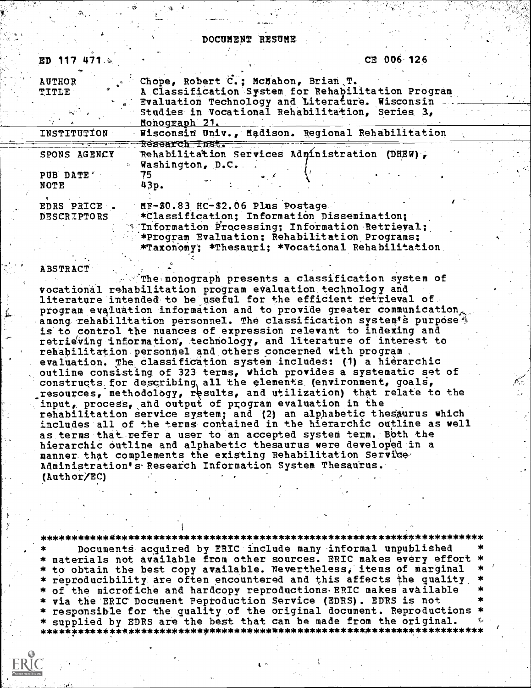#### DOCUMENT 'RESUME.

| ED 117 471.9                      |                                                                                                                                                                                      | CE 006 126                                         |  |
|-----------------------------------|--------------------------------------------------------------------------------------------------------------------------------------------------------------------------------------|----------------------------------------------------|--|
| <b>AUTHOR</b><br><b>TITLE</b>     | Chope, Robert C.; McMahon, Brian T.<br>Evaluation Technology and Literature. Wisconsin<br>Studies in Vocational Rehabilitation, Series 3,<br>Monograph 21.                           | A Classification System for Rehabilitation Program |  |
| INSTITUTION                       |                                                                                                                                                                                      | Wisconsin Univ., Madison. Regional Rehabilitation  |  |
| SPONS AGENCY<br>PUB DATE'<br>NOTE | Research Inst.<br>Rehabilitation Services Administration (DHEW),<br>Washington, D.C.<br>75<br>43p.                                                                                   |                                                    |  |
| EDRS PRICE<br><b>DESCRIPTORS</b>  | MF-\$0.83 HC-\$2.06 Plus Postage<br>*Classification; Information Dissemination;<br>* Information Processing; Information Retrieval;<br>*Program Evaluation; Rehabilitation Programs; | *Taxonomy; *Thesauri; *Vocational Rehabilitation   |  |

#### **ABSTRACT**

The monograph presents a classification system of vocational rehabilitation program evaluation technology and literature intended to be useful for the efficient retrieval of program evaluation information and to provide greater communication among rehabilitation personnel. The classification system s purpose is to control the nuances of expression relevant to indexing and retrieving information, technology, and literature of interest to rehabilitation personnel and others concerned with program evaluation. The classification system includes: (1) a hierarchic outline consisting of 323 terms, which provides a systematic set of constructs for describing all the elements (environment, goals, resources, methodology, results, and utilization) that relate to the input, process, and output of program evaluation in the rehabilitation service system; and (2) an alphabetic thesaurus which includes all of the terms contained in the hierarchic outline as well as terms that refer a user to an accepted system term. Both the hierarchic outline and alphabetic thesaurus were developed in a manner that complements the existing Rehabilitation Service Administration's Research Information System Thesaurus. (Author/EC)

#### \*\*\*\*\*\*\*\*\*\*\*\*\*\*\*\*\*\*\*\*\*\*\*\*\*\*\*\*\*\*\*\*\*\*\*\*\*\*\*\*\*\*\*\*\*\*\*\*\*\*\*\*\*\*\*\*\*\*\*\*\*\*\*\*\*\*\*\*\*\*\* Documents acquired by ERIC include many informal unpublished

\* materials not available from other sources. ERIC makes every effort \* \* to obtain the best copy available. Nevertheless, items of marginal \*  $^\prime$ <br>\* reproducibility are often encountered and this affects the quality \* of the microfiche and hardcopy reproductions. ERIC makes available via the ERIC Document Peproduction Service (EDRS). EDRS is not responsible for the quality of the original document. Reproductions supplied by EDRS are the best that can be made from the original. \*\*\*\*\*\*\*\*\*\*\*\*\*\*\*\*\*\*\*\*\*\*\*\*\*\*\*\*\*\*\*\*\*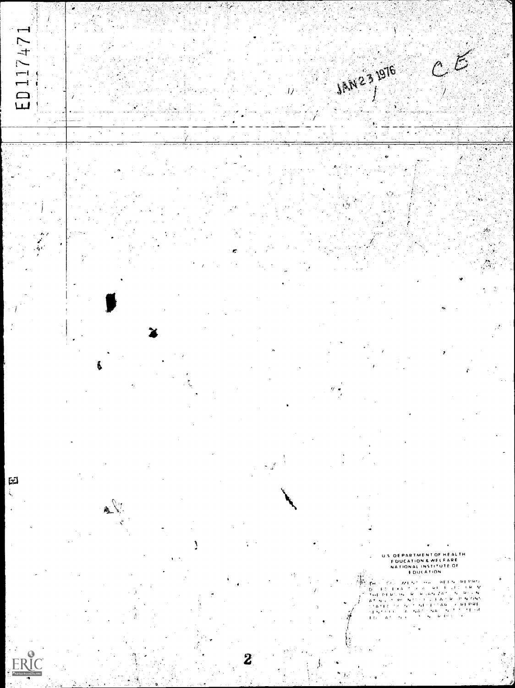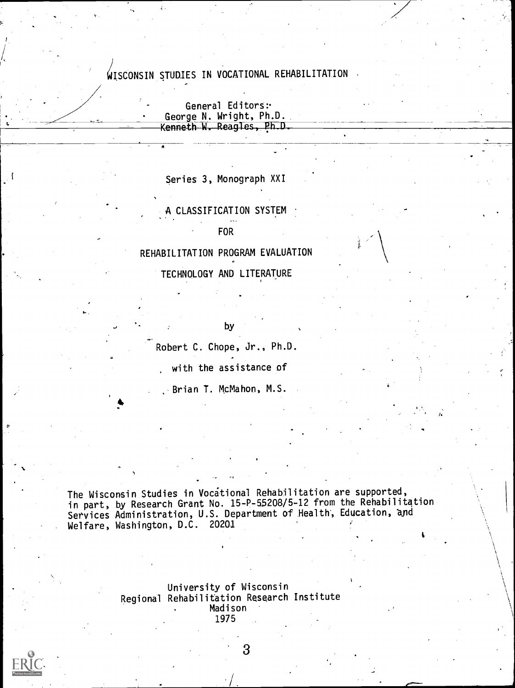## WISCONSIN STUDIES IN VOCATIONAL REHABILITATION

General Editors: George N. Wright, Ph.D. Kenneth W. Reagles, Ph.D.

Series 3, Monograph XXI

A CLASSIFICATION SYSTEM FOR

REHABILITATION PROGRAM EVALUATION TECHNOLOGY AND LITERATURE

by

Robert C. Chope, Jr., Ph.D.

with the assistance of

Brian T. McMahon, M.S.

The Wisconsin Studies in Vocational Rehabilitation are supported, in part, by Research Grant No. 15-P-55208/5-12 from the Rehabilitation Services Administration, U.S. Department of Health, Education, aid Welfare, Washington, D.C. 20201

> University of Wisconsin Regional Rehabilitation Research Institute Madison 1975



0'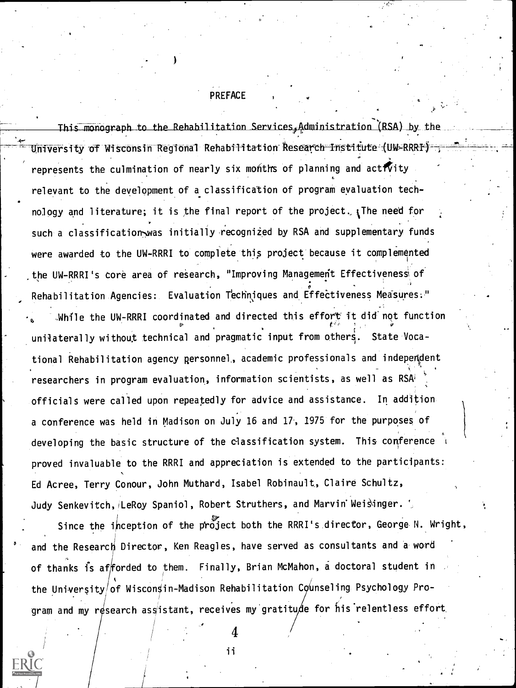#### PREFACE

monograph to the Rehabilitation Services,Administration (RSA) by the contract of University of Wisconsin Regional Rehabilitation Research Institute-(UW-RRRI) = represents the culmination of nearly six months of planning and activity relevant to the development of a classification of program evaluation technology and literature; it is the final report of the project.  $_{1}$ The need for such a classification-was initially recognized by RSA and supplementary funds were awarded to the UW-RRRI to complete this project because it complemented the UW-RRRI's core area of research, "Improving Management Effectiveness of Rehabilitation Agencies: Evaluation Techniques and Effectiveness Measures." While the UW-RRRI coordinated and directed this effort it did not function unilaterally without technical and pragmatic input from others. State Vocational Rehabilitation agency personnel,, academic professionals and independent researchers in program evaluation, information scientists, as well as RSA' officials were called upon repeatedly for advice and assistance. In addition a conference was held in Madison on July 16 and 17, 1975 for the purposes of developing the basic structure of the classification system. This conference proved invaluable to the RRRI and appreciation is extended to the participants: Ed Acree, Terry Conour, John Muthard, Isabel Robinault, Claire Schultz, Judy Senkevitch, LeRoy Spaniol, Robert Struthers, and Marvin Weisinger.

Since the inception of the project both the RRRI's director, George N. Wright, and the Research Director, Ken Reagles, have served as consultants and a word of thanks is afforded to them. Finally, Brian McMahon, a doctoral student in the University/of Wisconsin-Madison Rehabilitation Counseling Psychology Program and my research assistant, receives my gratitude for his relentless effort

> 4ii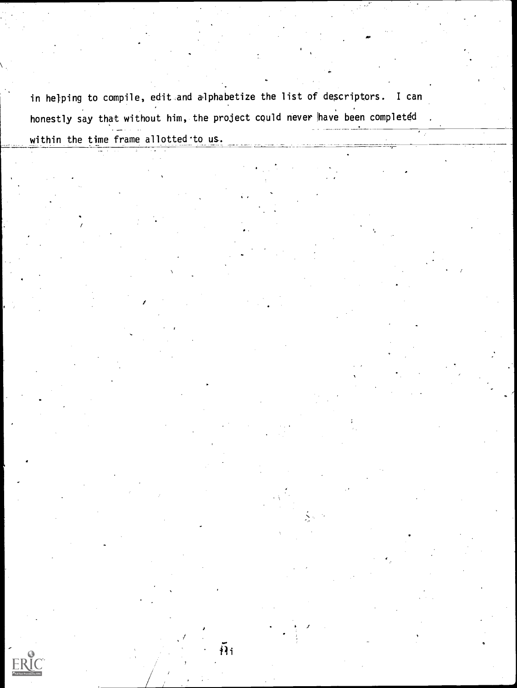in hejping to compile, edit and alphabetize the list of descriptors. I can honestly say that without him, the project could never have been completed within the time frame allotted to us. r-

 $\tilde{h}_1$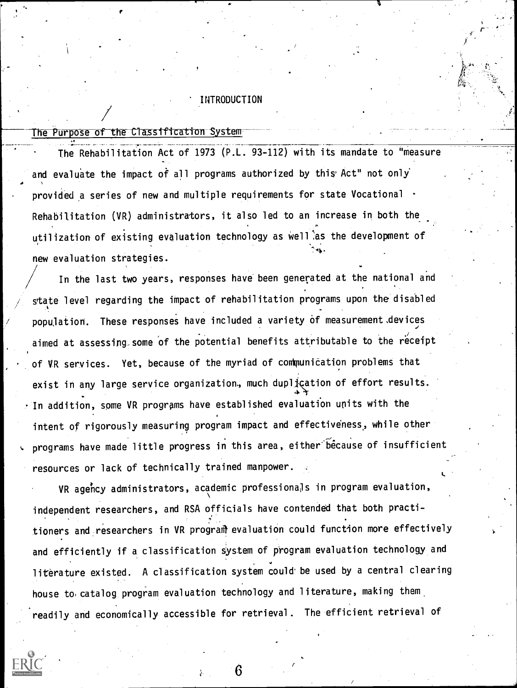#### INTRODUCTION

## The Purpose of the Classification System

The Rehabilitation Act of 1973 (P.L. 93-112) with its mandate to "measure and evaluate the impact of all programs authorized by this Act" not only  $\bullet$   $\bullet$   $\bullet$   $\bullet$ provided a series of new and multiple requirements for state Vocational  $\cdot$ Rehabilitation (VR) administrators, it also led to an increase in both the utilization of existing evaluation technology as well as the development of new evaluation strategies.

In the last two years, responses have been generated at the national and state level regarding the impact of rehabilitation programs upon the disabled population. These responses have included a variety of measurement devices aimed at assessing some of the potential benefits attributable to the receipt of VR services. Yet, because of the myriad of communication problems that exist in any large service organization., much duplication of effort results.  $\cdot$  In addition, some VR programs have established evaluation units with the intent of rigorously measuring program impact and effectiveness,, while other programs have made little progress in this area, either because of insufficient resources or lack of technically trained manpower.

VR agency administrators, academic professionals in program evaluation, independent researchers, and RSA officials have contended that both practitioners and researchers in VR program evaluation could function more effectively and efficiently if a classification system of program evaluation technology and literature existed. A classification system could be used by a central clearing house to catalog program evaluation technology and literature, making them readily and economically accessible for retrieval. The efficient retrieval of

I.

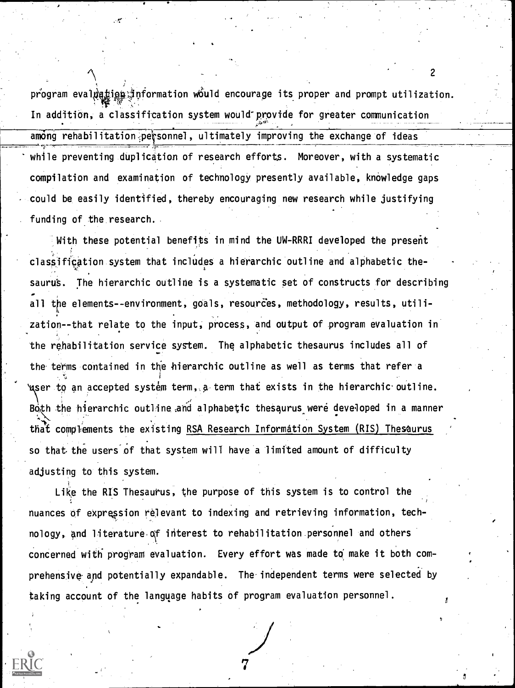program eval $\mathfrak{g}$ aris information would encourage its proper and prompt utilization. The state of  $\mathfrak{g}$ In addition, a classification system would-provide for greater communication among rehabilitation personnel, ultimately improving the exchange of ideas while preventing duplication of research efforts. Moreover, with a systematic compilation and examination of technology presently available, knowledge gaps could be, easily identified, thereby encouraging new research while justifying funding of the research.

With these potential benefits in mind the UW-RRRI developed the present classification system that includes a hierarchic outline and alphabetic thesaurus. The hierarchic outline is a systematic set of constructs for describing **A** all the elements--environment, goals, resources, methodology, results, utilization--that relate to the input, process, and output of program evaluation in the rehabilitation service system. The alphabetic thesaurus includes all of the terms contained in the hierarchic outline as well as terms that refer a Yuser to an accepted system term, a term that exists in the hierarchic outline. Both the hierarchic outline and alphabetic thesaurus were developed in a manner that complements the existing RSA Research Information System (RIS) Thesaurus so that the users'Of that system will have a limited amount of difficulty adjusting to this system.

Like the RIS Thesaurus, the purpose of this system is to control the nuances of expression relevant to indexing and retrieving information, tech-, , nology, and literature of interest to rehabilitation personnel and others concerned with program evaluation. Every effort was made to make it both comprehensive and potentially expandable. The independent terms were selected by taking account of the language habits of program evaluation personnel.

 $\epsilon$  and  $\epsilon$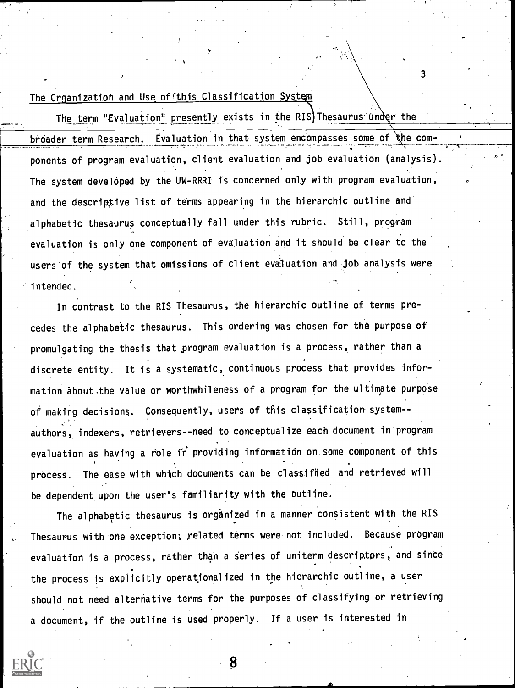## The Organization and Use of this Classification System

The term "Evaluation" presently exists in the RIS Thesaurus under the broader term Research. Evaluation in that system encompasses some of the components of program evaluation, client evaluation and job evaluation (analysis). The system developed by the UW-RRRI is concerned only with program evaluation, and the descriptive'list of terms appearing in the hierarchic outline and alphabetic thesaurus conceptually fall under this rubric. Still, program evaluation is only one component of evaluation and it should be clear to the users of the system that omissions of client evaluation and job analysis were intended.

 $3 \sim$ 

In contrast to the RIS Thesaurus, the hierarchic outline of terms pre- , cedes the alphabetic thesaurus. This ordering was chosen for the purpose of promulgating the thesis that program evaluation is a process, rather than a discrete entity. It is a systematic, continuous process that provides information about the value or worthwhileness of a program for the ultimate purpose of making decisions. Consequently, users of this classification system- authors, indexers, retrievers--need to conceptualize each document in program evaluation as having a role in providing information on some component of this process. The ease with which documents can be classified and retrieved will be dependent upon the user's familiarity with the outline.

The alphabetic thesaurus is organized in a manner consistent with the RIS Thesaurus with one exception; related terms were not included. Because program evaluation is a process, rather than a series of uniterm descriptors, and since the process is explicitly operatjonalized in the hierarchic outline, a user should not need alterhative terms for the purposes of classifying or retrieving a document, if the outline is used properly. If a user is interested in

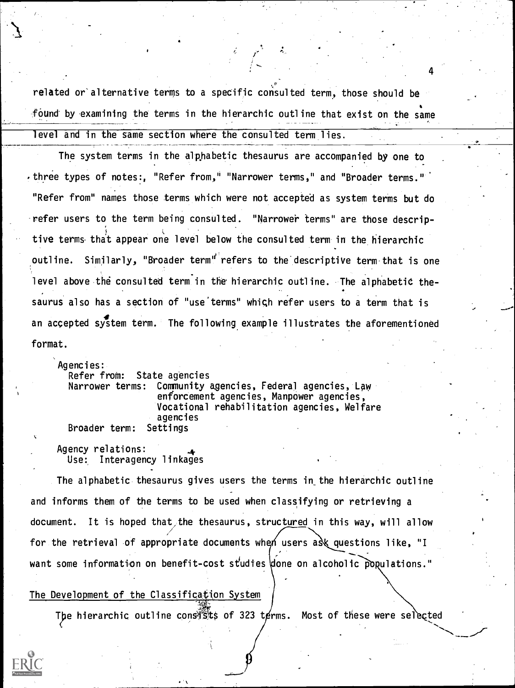related or'alternative terms to a specific consulted term, those should be found by examining the terms in the hierarchic outline that exist on the same level and in the same section where the consulted term lies.

 $\mathbb{Z}$  of  $\mathbb{Z}$ 

The system terms in the alphabetic thesaurus are accompanied by one to  $\cdot$  three types of notes:, "Refer from," "Narrower terms," and "Broader terms." $^{\circ}$ "Refer from" names those terms which were not accepted as system terms but do refer users to the term being consulted. "Narrower terms" are those descriptive terms that appear one level below the consulted term in the hierarchic outline. Similarly, "Broader term"' refers to the descriptive term that is one level above the consulted term in the hierarchic outline. The alphabetic the- $\bullet$  . The set of  $\bullet$ saurus also has a section of "use'terms" whigh refer users to a term that is an accepted system term. The following example illustrates the aforementioned format.

Agencies: Refer from: State agencies Narrower terms: Community agencies, Federal agencies, Law enforcement agencies, Manpower agencies, Vocational rehabilitation agencies, Welfare agencies<br>Settings Broader term:

Agency relations: Use: Interagency linkages

The alphabetic thesaurus gives users the terms in the hierarchic outline and informs them of the terms to be used when classifying or retrieving a document. It is hoped that the thesaurus, structured in this way, will allow for the retrieval of appropriate documents when users ask questions like, "I want some information on benefit-cost studies done on alcoholic populations."

#### The Development of the Classificatjon System

The hierarchic outline consists of 323 terms. Most of these were selected

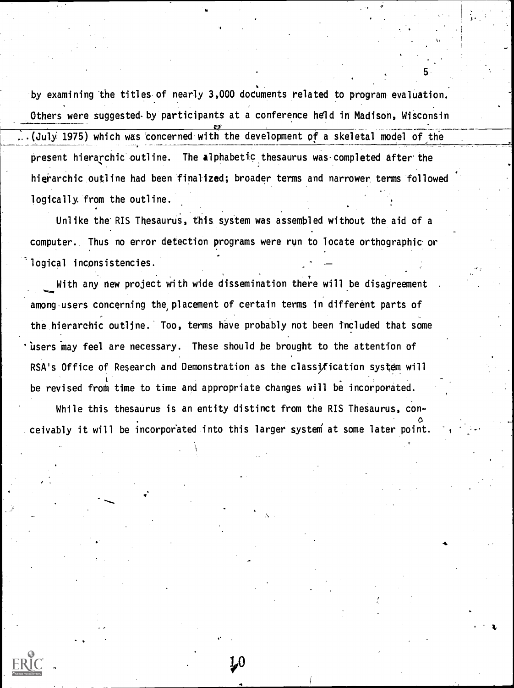by examining the titles of nearly 3,000 documents related to program. evaluation. Others were suggested by participants at a conference held in Madison, Wisconsin  $\alpha$  . ...(July 1975) which was 'concerned with the development of a skeletal model of the present hierarchic outline. The alphabetic thesaurus was completed after the hierarchic outline had been finalized; broader terms and narrower terms followed logically from the outline.

Unlike the RIS Thesaurus, this system was assembled without the aid of a computer. Thus no error detection programs were run to locate orthographic or logical inconsistencies.

With any new project with wide dissemination there will be disagreement among users concerning the placement of certain terms in different parts of the hierarchic outline. Too, terms have probably not been included that some 'users may feel are necessary. These should be brought to the attention of RSA's Office of Research and Demonstration as the classification system will be revised from time to time and appropriate changes will be incorporated.

While this thesaurus is an entity distinct from the RIS Thesaurus, conceivably it will be incorporated into this larger system at some later point.

LO

**5** (1995)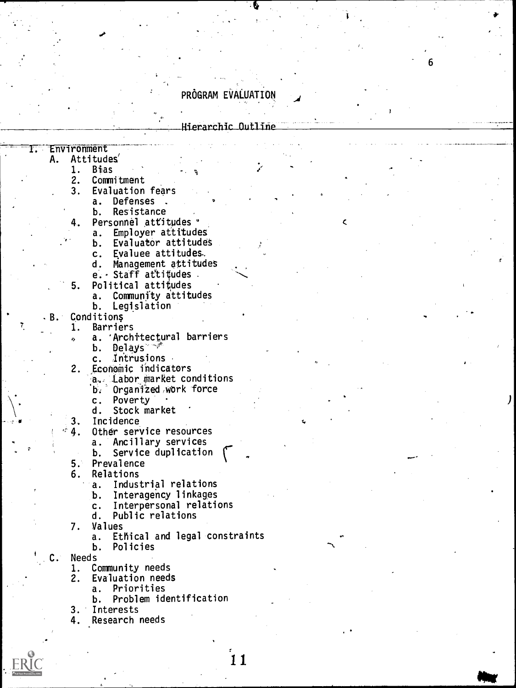## PROGRAM EVALUATION

#### Hierarchic Outline

 $\epsilon$  and  $\epsilon$ 

 $\mathbf{c}$ 

#### Environment<br>A. Attitud r.

# Attitudes'<br>1. Bias

- 1. Bias<br>2. Comm
- 2. Commitment<br>3. Evaluation
- Evaluation fears<br>a. Defenses.
	- a. Defenses<br>b. Resistan
	- Resistance
- 4. Personnel attitudes "
	- a. Employer attitudes
	- b. Evaluator attitudes<br>c. Evaluee attitudes
	- Evaluee attitudes.
	- d. Management attitudes
	- e. Staff attitudes
	-
- Political attitudes<br>a. Community attit Community attitudes
	- b. Legislation
- B. Condition§

5.

- 1. Barriers
	- a. 'Architectural barriers
		- b. Delays
		- c. Intrusions
- 2. Economic indicators
	- A. Labor market conditions
	- 'b. Organized ,wbrk force
	- c. Poverty
	- d. Stock market
	-
- 3. Incidence<br>4. Other ser Other service resources
	- a. Ancillary services
	- b. Service duplication
	-
	- 5. Prevalence<br>6. Relations 6. Relations
		- a. Industrial relations
		- b. Interagency linkages
		- c. Interpersonal relations
		- Public relations
	- 7. Values
		- a. Ethical and legal constraints
		- b. Policies
- C. Needs
	- 1. Community needs
	- 2. Evaluation needs
		- a. Priorities
		- b. Problem identification
	- 3. Interests
	- 4. Research needs

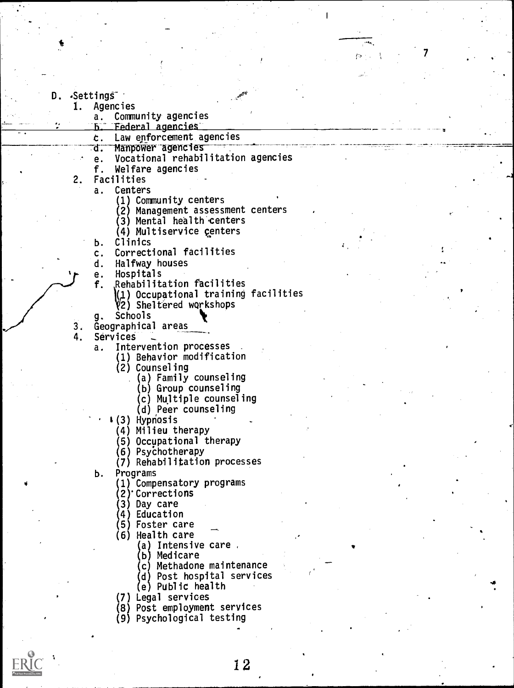- D. Settings<br>1. Agenci
	- **Agencies** 
		- a. Community agencies
		- **b.** Federal agencies
		- t. Law epforcement agencies
		- Mampower agencies
		- e. Vocational rehabilitation agencies<br>f. Welfare agencies
		- Welfare agencies
	- $2.$ Facilities
		- a. Centers
			- (1 Community centers
			- (2 Management assessment centers

II

- 3) Mental health centers
- (4) Multiservice centers
- 
- b. Clinics c. Correctional facilities<br>d. Halfway houses
- Halfway houses
- e. Hospitals
- f. Rehabilitation facilities
	- ) Occupational training facilities 2) Sheltered workshops
- g. Schools
- $3.$ Geographical areas

4. Services \_

- a. Intervention processes
	- (1) Behavior modification
	- (2) Counseling
		- (a) Family counseling
		- (b) Group counseling
		- (c) Multiple counseling
		- (d) Peer counseling
	- 1(3) Hypnosis
		- (4) Milieu therapy
		- (5) Occupational therapy
		- (6) PsyChotherapy
		- (7) Rehabilitation processes
- b. Programs
	- (1) Compensatory programs
	- 2) Corrections
	- 3) Day care
	- 4) Education
	- 5) Foster care
	- (6) Health care
		- a) Intensive care .
		- b) Medicare
		- c) Methadone maintenance
		- (d) Post hospital services
		- (e) Public health
	- (7) Legal services
	- (8) Post employment services
	- (9) Psychological testing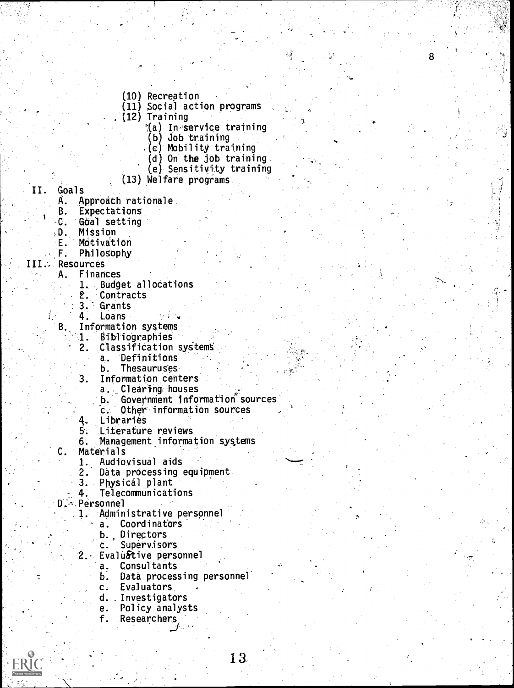- (10) Recreation
- (11) Social action programs
- (12) Training
	- %(a) In service training

8

- (b) Job training
- (c) Mobility training
- (d) On the job training
- (e) Sensitivity training
- (13) Welfare programs
- II. Goals<br>A. A
	- A. Approach rationale<br>B. Expectations
	- B. Expectations<br>C. Goal setting
	- -C. Goal setting
		- **Mission**
	- E. Mótivation<br>F. Philosophy
		- Philosophy

#### III.. Resources

- A. Finances
	- 1. Budget allocations
	- 2. Contracts
	- 3. Grants
	- **Loans**
	- B. Information systems<br>B. Bibliographies
		- 1. Bibliographies
			- Classification systems
			- a. Definitions
			- b. Thesauruses
		- . Information centers
			- a. Clearing houses
			- b. Government information sources
			- Other-information sources
		- 4- Libraries
		- 5. Literature reviews
		- 6. Management information systems
	- C. Materials
		- 1. Audiovisual aids<br>2. Data processing
		- 2. Data processing equipment<br>3. Physical plant
		- Physical plant
		- 4. Telecommunications
- D. Personnel
	- 1. Administrative perspnnel
		- a. Coordinators
		- b., Directors
		- C. Supervisors
	- 2. Evaluative personnel
		- a. Consultants
		- b. Data processing personnel
		- c. Evaluators
		- d. . Investigators
		- e. Policy analysts
		- f. Researchers

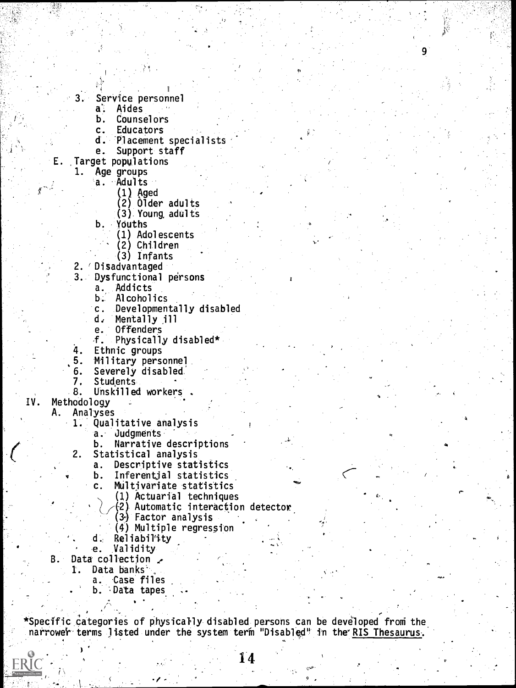- . Service personnel
	- a'. Aides
	- b. Counselors
	- c. Educators
	- d. 'Placement specialists

fl

- e. Support staff
- E. Target populations
	- 1. Age groups a. 'Adults
		-
		- (1) Aged
		- (2) Older adults (3). Young, adults
		- Youths
			- (1) Adolescents
				- (2) Children
				- (3) Infants
	- 2. 'Disadvantaged
	- 3. Dysfunctional persons
		- a. Addicts
		- b. Alcoholics
		- c. Developmentally disabled
		- d. Mentally ill
		- e. Offenders
		- f. Physically disabled\*
	-
	- 4. Ethnic groups<br>5. Military pers Military personnel
	- 6. Severely disabled'
	- 7. Students
	- 8. Unskilled workers
- IV. Methodology
	- A. Analyses
		- 1. Qualitative analysis
			- a. Judgments
			- b. Narrative descriptions
		- 2. Statistical analysis
			- a. Descriptive statistics
			- b. Inferential statistics
			- c. Multivariate statistics
				- (1) Actuarial techniques
				- (2) Automatic interaction detector
				- (3) Factor analysis
				- (4) Multiple regression
			- d. Reliability
			- e. Validity
		- B. Data collection
			- 1. Data banks<sup>3</sup>
				- a. Case files
				- b. 'Data tapes

.

\*Specific categories of physically disabled persons can be developed from the narrower terms listed under the system term "Disabled" in the RIS Thesaurus.



A-

q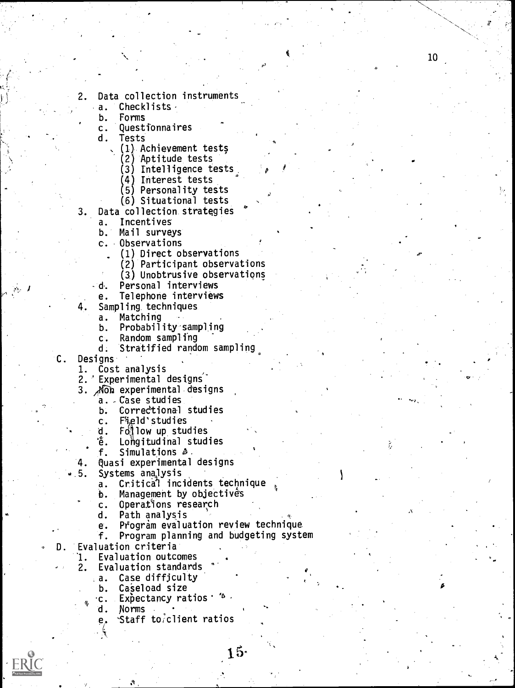- 2. Data collection instruments
	- a. Checklists.<br>b. Forms
	-
	- b. Forms<br>c. Quest c. Questionnaires
	- Tests
		- (1) Achievement tests
			- (2) 'Aptitude tests
			- (3) Intelligence tests.

10

- (4) Interest tests
- (5) Personality tests
- (6) Situational tests
- 3. Data collection strategies
	- a. Incentives
	- b. Mail surveys
	- c. Observations
		- (1) Direct observations
		- (2) Participant observations
		- (3) Unobtrusive observations
	- d. Personal interviews
		- e. Telephone interviews
- 4, Sampling. techniques
	- a. Matching
	- b. Probability-sampljng
	- c. Random sampling
	- Stratified random sampling
- C. Designs'

 $\sim 1$ 

- 1. Cost analysis
- 2.' Experimental designs'"
- 3. Non experimental designs
	- a. Case studies
	- b. Correctional studies
	- c.Field'studies
	- d. Follow up studies
	- 'ễ. Lohgitudinal studies
	- f. Simulations A.
- '4. Quasi experimental designs<br>. 5. Systems analysis
- Systems analysis
	- a. Critica1 incidents technique
	- b. Management by objectives
	- c. Operations research
	- d. Path analysis
	- e. Program evaluation review technique.
	- f. Program planning and budgeting system
- D. Evaluation criteria
	- '1. Evaluation outcomes
	- 2. Evaluation standards
		- .a. Case diffjculty
			- Caseload size
		- c. Expectancy ratios  $^{\circ}$  4
		- d. Norms
		- e, 'Staff to:client ratios

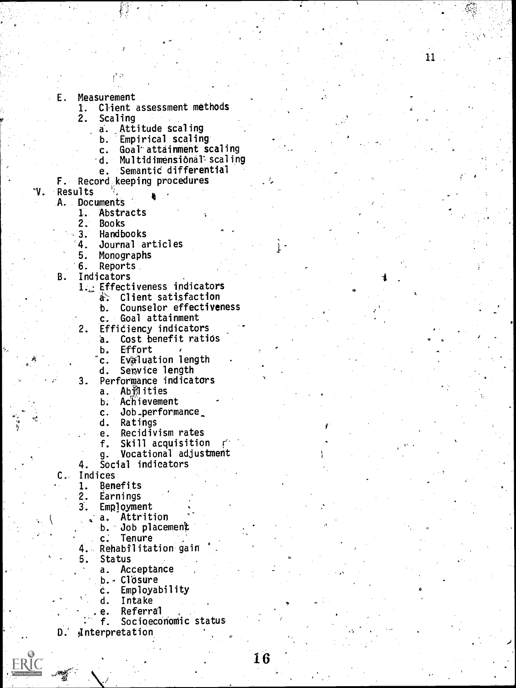E. Measurement

1. Client assessment methods<br>2. Scaling

Scaling<br>a. Att

Attitude scaling

b. Empirical scaling<br>c. Goal attainment s

c. Goal attainment scaling<br>d. Multidimensional scalin

11

- Multidimensional scaling
- e. Semantic differential
- F. Record keeping procedures
- °V. Results

A. Documents

1. Abstracts<br>2. Books

**Books** 

- 
- 3. Handbooks 4. Journal articles
- 
- 5. Monographs **Reports**
- B. Indicators
	- 1. Effectiveness indicators<br>a: Client satisfaction
		- Cl ient satisfaction
			- b. Counselor effectiveness
			- c. Goal attainment
	- 2. Efficiency indicators

a. Cost benefit ratios

**Effort** 

- c. Evaluation length
- d. Serwice length

3. Performance indicators<br>a. Ab割ities

- Ab削ities
- b. Achievement
- c. Job \_performance

d. Ratings

- e. Recidivism rates<br>f. Skill acquisition Skill acquisition
- g. Vocational adjustment
- 4. Social indicators

C.. Indices

- 1. Benefits<br>2. Earnings
- Earnings

3. Employment

- a. Attrition
- b. Job placement
- c. Tenure
- 4. Rehabilitation gain
- 5. Status
	- a. Acceptance
		- b. Closure
		- c. Employability
		- d. Intake
		- e. Referral<br>f. Socioeco
	- Socioeconomic status
- $D$ . Anterpretation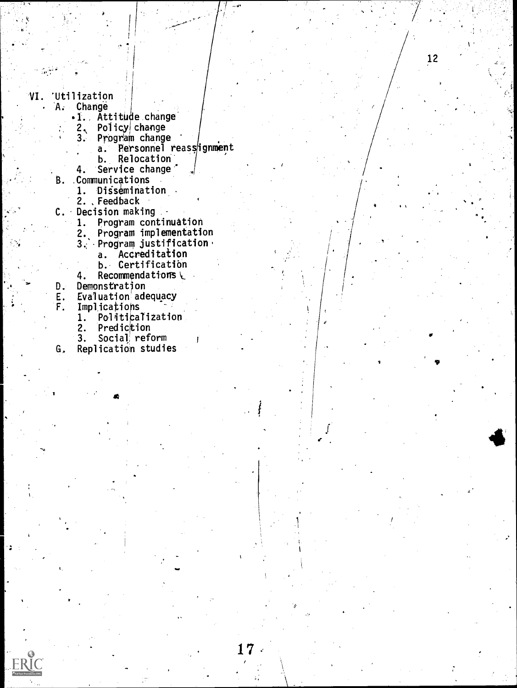- VI. Utilization<br>A. Change
	- **Change** 
		- .1. Attitude change<br>2. Policy change
		- $2$   $\sqrt{}$  Policy change the function  $\sqrt{}$
		- 3. Program change
			- a. Personnel reassignment

12

- b. Relocation
- 4. Service change' Communicqtions Β.
	- 1. Dissemination
	- 2. , Feedback
	-
- C. Decision making<br>1. Program contin Program continuation
	- 2. Program implementation
	- 3. Program justification.
		- a. Accreditation
			- b. Certification
	- 4. Recommendations  $\setminus$
- 
- D. Demonstration<br>E. Evaluation add
- E. Evaluation adequacy<br>F. Implications
	- Implications<br>1. Politica 1. Politicalization<br>2. Prediction

**Joseph Communication** 

- 2. Prediction<br>3. Social ref
- Social reform
- G. Replication studies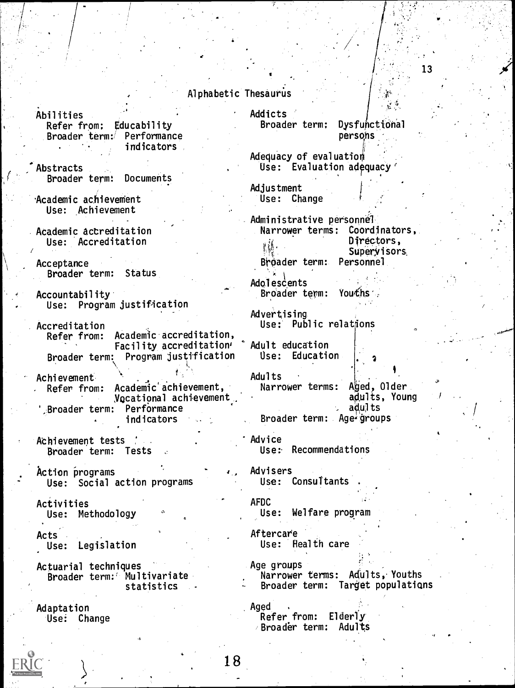#### Alphabetic Inesaurus **Alphabetic**

Abilities Refer from; Educability Broader term :' Performance indicators

Abstracts<br>Broader term: Documents Broader term:

Academic achievement Use: Achievement

Academic accreditation Use: Accreditation

Acceptance Broader term: Status

Accountability Use: Program justification

Accreditation Refer from: Academic accreditation, Facility accreditation' Broader term: Program justification

Achievement Refer from: Academic achievement, Vocational achievement ',Broader term: Performance indicators

Achievement tests Broader term: Tests

Action programs<br>Action programs action programs and use: Consultants<br>Alse: Consultants Use: Social action programs

Activities Use: Methodology

Acts . Use: Legislation

Actuarial techniques Broader term:' Multivariate statistics

Adaptation Use: Change Addicts Broader term: Dysfufictional persphs

Adequacy of evaluation Use: Evaluation adequacy 13

Adjustment Use: Change

Administrative p ersonnel Narrower terms : Coordinators, t,f Broader term: Personnel Directors, Superyisors.

Adolescents Broader term: Youths

Advertising Use: Public relations

Adult education Use: Education

Adults Narrower terms: Aged, Older adults, Young adults Broader term: Age groups

Advice Use:. Recommendations

AFDC Use: Welfare program

Aftercare Use: Health care

Age groups Narrower terms: Adults, Youths Broader term: Target populations

Aged . Refer from: Elderly Broader term: Adults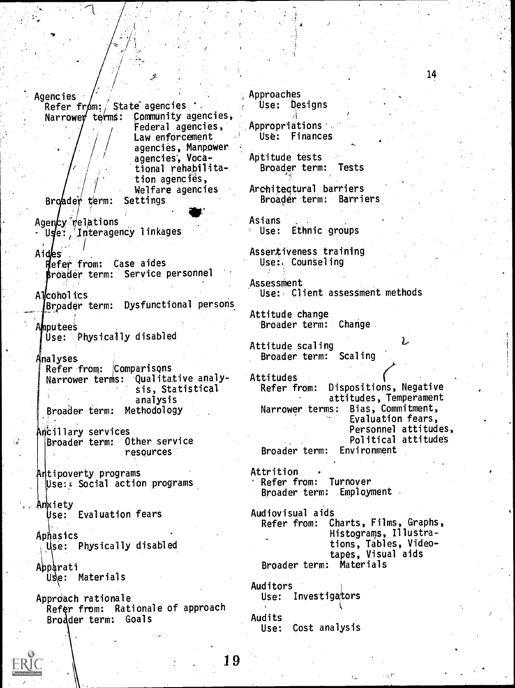Agencies Refer from: State agencies<br>Narrower terms: Community age Community agencies, Federal agencies, Approaches . Law enforcement agencies, Manpower agencies, Vocational rehabilitation agencies, Welfare agencies<br>Settings  $Bridadev'$  term: Agency relations Uge: / Interagency linkages Aides Refer from: Case aides roader, term: Service personnel A lcoholics Broader term: Dysfunctional persons putees Use: Physically disabled Analyses<br>| Refer from: *C*omparisons  $Refer$  from: Narrower terms: Qualitative analysis, Statistical Refer from: analysis Broader term: Methodology Ancillary services Broader term: Other service resources Antipoverty programs Use: & Social action programs Anxiety Use: Evaluation fears **Aphasics** Use: Physically disabled Abparati Use: Materials Approach rationale Refer from: Rationale of approach Bro der term: Goals Use: Designs Use: Finances Asians Assessment Attitudes Attrition Auditors Audits

19

14

Appropriations

Aptitude tests Broader term: Tests

Architectural barriers<br>Broader term: Barriers Broader term:

Ethnic groups

Assertiveness training Use: Counseling

Use: Client assessment methods

Attitude change Broader term: Change

Attitude scaling Broader term: Scaling ι

Dispositions, Negative attitudes, Temperament Narrower terms: Bias, Commitment, Evaluation fears, Personnel attitudes, Political attitude's Broader term: Environment

Refer from: Turnover Broader term: Employment

Audiovisual aids Charts, Films, Graphs, Histograms, Illustrations, Tables, Videotapes, Visual aids Broader term: Materials

Use: Investigators

Use: Cost analysis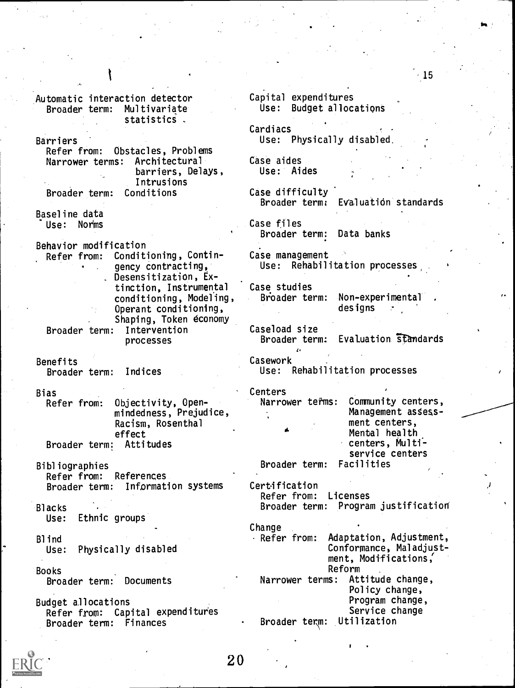Automatic interaction detector Broader term: Multivariate statistics . **Barriers** Refer from: Obstacles, Problems Narrower terms: Architectural barriers, Delays, Intrusions Broader term: Conditions Baseline data Use: Norms Behavior modification Refer from: Conditioning, Contin- . gency contracting, . Desensitization, Extinction, Instrumental conditioning, Modeling, Operant conditioning, Shaping, Token economy Broader term: Intervention processes Benefits Broader term: Indices Bias<br>Refer from: Refer from: Objectivity, Openmindedness, Prejudice, Racism, Rosenthal effect Broader term: Attitudes Bibliographies Refer from: References Broader term: Information systems Blacks Use: Ethnic groups Blind Use: Physically disabled Books Broader term: Documents Budget allocations Refer from: Capital expenditures Broader term: Finances Capital expenditures Use: Budget allocations Cardiacs Use: Physically disabled. Case aides User Aides Case difficulty Broader term: Evaluaticin standards Case files Broader term: Data banks Case management Use: Rehabilitation processes Case studies Broader term: Non-experimental designs Caseload size Broader term: Evaluation standards Casework Use: Rehabilitation processes Centers<br>Narrower terms: Community centers, Management assessment centers, Mental health centers, Multiservice centers<br>Facilities Broader term: Certification Refer from: Licenses Broader term: Program justification Change Refer from: Adaptation, Adjustment, Conformance, Maladjustment, Modifications,' Reform<br>is: Attitude change, Narrower terms: Policy change, Program change, Service change Broader term: Utilization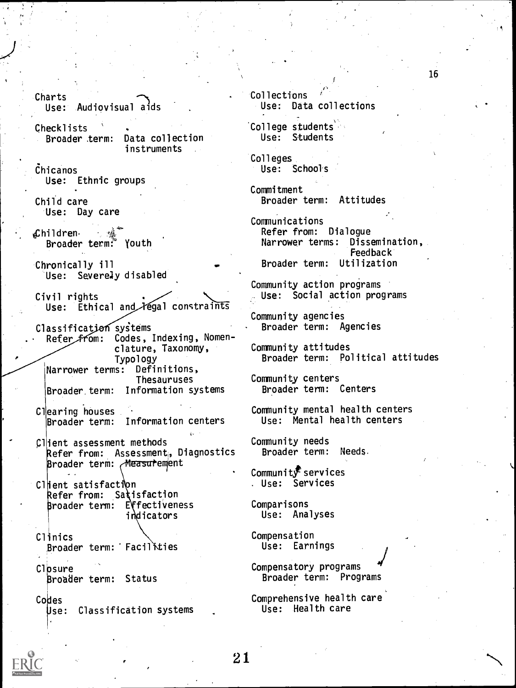$\sum_{i=1}^n$ Use: Audiovisual aids (1986)

Checklists Broader .term: Data collection instruments

Chicanos Use: Ethnic groups

Child care Use: Day care

&hildren. 7 Broader term? Youth

Chronically ill Use: Severely disabled

Civil rights Use: Ethical and *Hegal* constraints

Classification systems Refer from: Codes, Indexing, Nomenclature, Taxonomy, Typology<br><sub>is:</sub> Definitions, Narrower terms: Thesauruses Broader. term: Information systems

Clearing houses Broader term: Information centers

Client assessment methods Refer from: Assessment, Diagnostics Broader term: Measurement

Client satisfaction Refer from: Satisfaction Broader term: Effectiveness indicators

Clinics Broader term: Facillties

Closure roader term: Status

Codes

Use: Classification systems

Collections Use: Data collections

College students Use: Students

Colleges. Use: School's

Commitment Broader term: Attitudes

Communications Refer from: Dialogue Narrower terms: Dissemination, Feedback Broader term: Utilization

Community action programs Use: Social action programs

Community agencies Broader term: Agencies

Community attitudes Broader term: Political attitudes

Community centers Broader term: Centers

Community mental health centers Use: Mental health centers

Community needs Broader term: Needs.

Community services Use: Services

Comparisons Use: Analyses

Compensation Use: Earnings

21

Compensatory programs Broader term: Programs

Comprehensive health care Use: Health care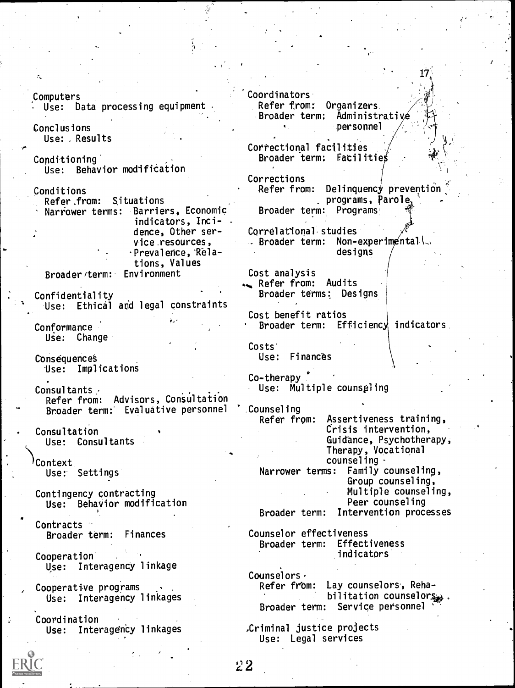.Computers Use: Data processing equipment Conclusions. Use: Results Conditioning' Use: Behavior modification Conditions Refer,from: Situations Narrower terms: Barriers, Economic indicators, Inci- . dence, Other service resources, Prevalence, Relations, Values<br>Environment Broader/term: Confidentiality Use: Ethical and legal constraints **Conformance** Use: Change Consequence§ Use: Implications Consultants ,  $\begin{array}{ccc} \begin{array}{ccc} \end{array} & \begin{array}{ccc} \end{array} & \begin{array}{ccc} \end{array} & \begin{array}{ccc} \end{array} & \begin{array}{ccc} \end{array} & \begin{array}{ccc} \end{array} & \begin{array}{ccc} \end{array} & \begin{array}{ccc} \end{array} & \begin{array}{ccc} \end{array} & \begin{array}{ccc} \end{array} & \begin{array}{ccc} \end{array} & \begin{array}{ccc} \end{array} & \begin{array}{ccc} \end{array} & \begin{array}{ccc} \end{array} & \begin{array}{ccc} \end{array} & \begin{array$ Refer from: Advisors, Consultation Broader term: Evaluative personnel 'Counseling<br>Refer from: **Consultation** Use: Consultants Context. User Settings Contingency contracting Use: Behavior modification Contracts Broader term: Finances Cooperation<sup>1</sup> Use: Interagency linkage Cooperative programs Use: Interagency linkages Coordination Use: Interagency linkages Coordinators Refer from: Organizers. Broader term; Administrativ personnel Correctional facilities Broader term: Facilitie Corrections Refer from: Delinquency prevention programs, Parole. 1 Broader term: Programs  $17<sub>^\circ</sub>$ Correlational.studies  $\therefore$  Broader term: Non-experimentall designs Cost analysis Refer from: Audits Broader terms: Designs Cost benefit ratios Broader term: Efficiency indicators Costs' Use: Finances Co-therapy Use: Multiple counseling Counseling Assertiveness training, Crisis intervention, Guidance, Psychotherapy, Therapy, Vocational counseling -Narrower terms: Family counseling, Group counseling, Multiple counseling, Peer counseling Broader term: Intervention processes Counselor effectiveness Broader term: Effectiveness indicators Counselors,<br>Refer from: Lay counselors, Rehabilitation counselors . Broader term: Service personnel .Criminal justice projects Use: Legal services

 $2\,2$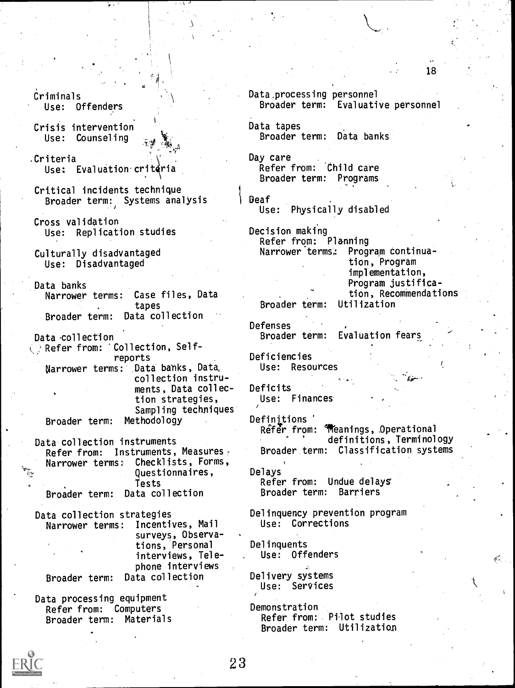Criminals Use: Offenders

Crisis intervention Use: Counseling

.Criteria Use: Evaluation critéria

Critical incidents technique Broader term: Systems analysis

Cross validation Use: Replication studies

Culturally disadvantaged Use: Disadvantaged

Data banks Narrower terms: Case files, Data tapes Broader term: Data collection

Data 'collection Refer from: 'Collection, Selfreports Narrower terms: Data banks, Data, collection instruments, Data collection strategies, Sampling techniques Broader term: Methodology

Data collection instruments Refer from: Instruments, Measures. Narrower terms: Checklists, Forms, Questionnaires, Tests Broader term: Data collection

Data collection strategies Narrower terms: Incentives, Mail surveys, Observations, Personal interviews, Telephone interviews Broader term: Data collection

Data processing equipment Refer from: Computers Broader term: Materials Data. processing personnel Broader term: Evaluative personnel

Data tapes Broader term: Data banks

Day care Refer from: Child care Broader term: Programs

Deaf Use: Physically disabled

Decision making Refer from: Planning<br>Narrower terms: Prog Program continuation, Program implementation, Program justification, Recommendations Broader term:

Defenses , Broader term: Evaluation fears

Deficiencies Use: Resources

Deficits Use: Finances

Definitions' Refer from: **Meanings, Operational** definitions, Terminology Broader term: Classification systems

Delays Refer from: Undue delays Broader term: Barriers

Delinquency prevention program Use: Corrections

Delinquents Use: Offenders

Delivery systems Use: Services

Demonstration Refer from: Pilot studies Broader term: Utilization

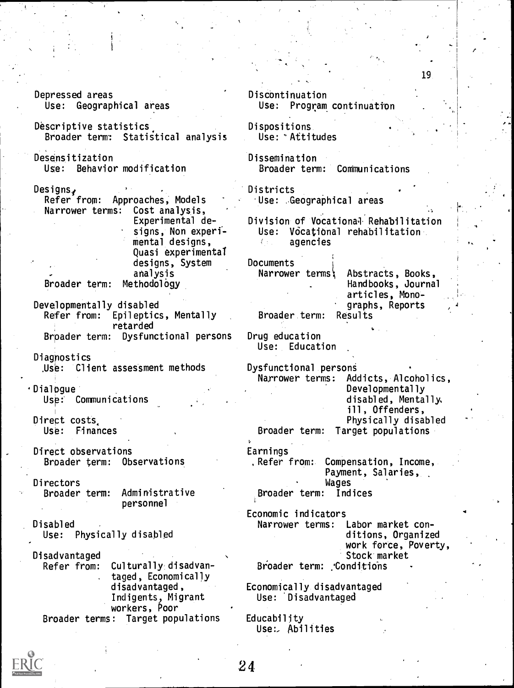Depressed areas Discontinuation Use: Geographical areas Use: Program continuation Descriptive statistics. Dispositions. Broader term: Statistical analysis Use: °Attitudes Desensitization Dissemination Use: Behavior modification Broader term: Communications Designs. Districts Refer from: Approaches, Models Use: Geographical areas Narrower terms: Cost analysis, Experimental de-Division of Vocational Rehabilitation Use: Vocational rehabilitation signs, Non experimental designs,  $I_{\rm eff}$ agencies Quasi experimental designs, System Documents analysis Narrower terms; Abstracts, Books, Broader term: Methodology Handbooks, Journal articles, Mono-Developmentally disabled graphs, Reports<br>Results Refer from: Epileptics, Mentally Broader.term: retarded Drug education Brpader term: Dysfunctional persons Use: Education Diagnostics .Use: Client assessment methods Dysfunctional persons Narrower terms: Addicts, Alcoholics, Dialogue Developmentally disabled, Mentally, Use: Communications ill, Offenders, Direct costs Physically disabled Broader term: Target populations Use: Finances Direct observations Earnings Broader term: Observations ,Refer from:. Compensation, Income, Payment, Salaries, Wages Directors<br>Broader term: Administrative Broader term: Indices personnel Economic indicators Disabled Narrower terms: Labor market con-Use: Physically disabled ditions, Organized work force, Poverty, Stock market Disadvantaged Culturally<sub>disadvan-</sub> Broader term: : Conditions taged, Economically disadvantaged, Economically disadvantaged Indigents, Migrant Use: 'Disadvantaged workers, Poor Broader terms: Target populations Educability Use:. Abilities

19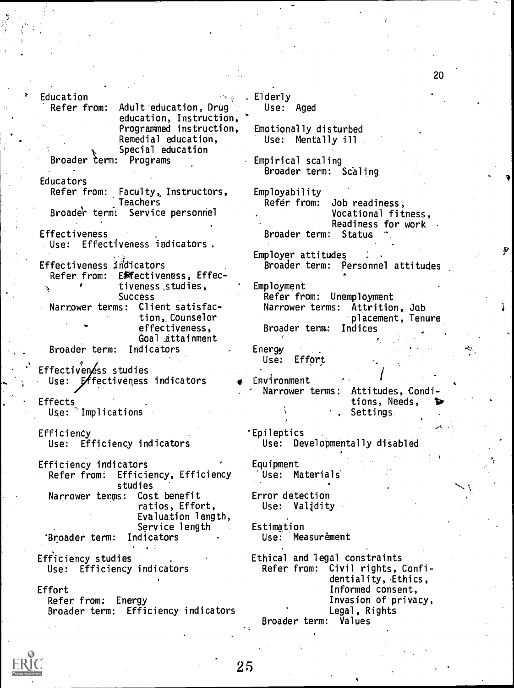| Education                             | . Elderly                         |
|---------------------------------------|-----------------------------------|
| Refer from:<br>Adult education, Drug  | Use: Aged                         |
| education, Instruction,               |                                   |
| Programmed instruction,               | Emotionally disturbed             |
| Remedial education,                   | Use: Mentally ill                 |
| Special education                     |                                   |
| Broader term: Programs                | Empirical scaling                 |
|                                       |                                   |
|                                       | Broader term: Scaling             |
| Educators                             |                                   |
| Refer from: Faculty, Instructors,     | Employability                     |
| <b>Teachers</b>                       | Refer from:<br>Job readiness,     |
| Broader term: Service personnel       | Vocational fitness,               |
|                                       | Readiness for work                |
| Effectiveness                         | Broader term: Status              |
| Use: Effectiveness indicators.        |                                   |
|                                       | Employer attitudes                |
| Effectiveness indicators              | Broader term: Personnel attitudes |
| Refer from: E孵ectiveness, Effec-      |                                   |
| tiveness, studies,<br>g,              | Employment                        |
| <b>Success</b>                        | Refer from: Unemployment          |
| Narrower terms: Client satisfac-      | Narrower terms: Attrition, Job    |
| tion, Counselor                       | placement, Tenure                 |
| effectiveness,                        | Broader term: Indices             |
| Goal attainment                       |                                   |
| Broader term: Indicators              | Energy<br>κ.,                     |
|                                       | Use:<br>Effort                    |
| Effectiveness studies                 |                                   |
|                                       | Environment                       |
| Use: Exfectiveness indicators         |                                   |
|                                       | Narrower terms: Attitudes, Condi- |
| Effects                               | tions, Needs,                     |
| $Use:$ Implications                   | Settings                          |
|                                       |                                   |
| Efficiency                            | 'Epileptics                       |
| Use: Efficiency indicators            | Use: Developmentally disabled     |
|                                       |                                   |
| Efficiency indicators                 | Equipment                         |
| Efficiency, Efficiency<br>Refer from: | Use: Materials                    |
| studies                               |                                   |
| Narrower terms:<br>Cost benefit       | Error detection                   |
| ratios, Effort,                       | Use: Validity                     |
| Evaluation length,                    |                                   |
| Service length                        | Estimation                        |
| Indicators<br>'Broader term:          | Use: Measurement                  |
|                                       |                                   |
| Efficiency studies                    | Ethical and legal constraints     |
| Use: Efficiency indicators            | Refer from: Civil rights, Confi-  |
|                                       | dentiality, Ethics,               |
| Effort                                | Informed consent,                 |
| Refer from: Energy                    | Invasion of privacy,              |
| Broader term: Efficiency indicators   | Legal, Rights                     |
|                                       | Values                            |
|                                       | Broader term:                     |



25

20

Ņ

Į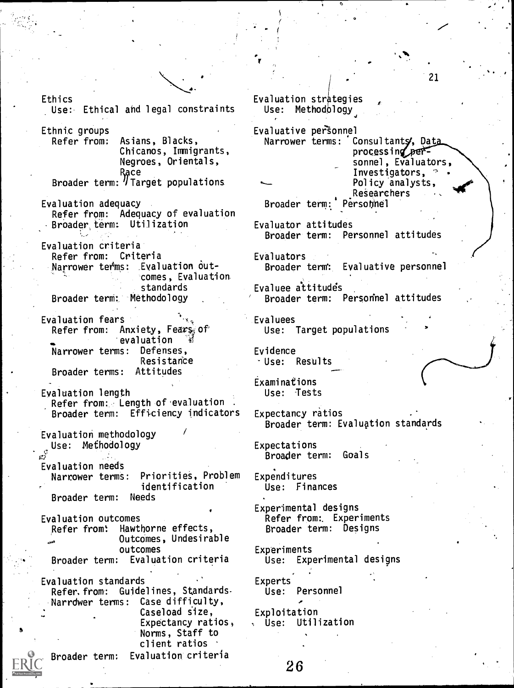Ethics Use: Ethical and legal constraints

Ethnic groups Asians, Blacks, Chicanos, Immigrants, Negroes, Orientals, Race in the Race of the Race of the Race of the Race of the Race of the Race of the Race of the Race of the Ra Broader term:  $\eta$  larget populations.  $\sim$ 

- Evaluation adequacy Refer from: Adequacy of evaluation Broader,term: Utilization
- Evaluation criteria Refer from: Criteria Narrower terms: Evaluation outcomes, Evaluation standards Broader term: Methodology
- Evaluation fears<br>Refer from: A Anxiety, Fears, of evaluation<br>ns: Defenses, Narrower terms: **Resistance** Broader terms: Attitudes
- Evaluation length Refer from: Length of evaluation Broader term: Efficiency indicators

Evaluation methodology Use: Methodology

Evaluation needs Narrower terms: Priorities, Problem identification<br>Needs Broader term:

Evaluation outcomes Refer from: Hawthorne effects, OutcOmes, Undesirable outcomes Broader term: Evaluation criteria

S Evaluation standards Refer. from: Guidelines, Standards-Narrdwer terms: Case difficulty, Caseload size, Expectancy ratios, Norms, Staff to client ratios

Broader term: Evaluation criteria

Evaluation strategies Use: Methodology

 $-$  (  $-$ 

Evaluative personnel Narrower terms: Consultanty, Data processing personnel, Evaluators, Investigators,  $\frac{1}{2}$ Policy analysts, ReSearchers Broader term: Personnel

o

Evaluator attitudes Broader term: Personnel attitudes

Evaluators Broader term': Evaluative personnel

Evaluee attitude Broader term: Personnel attitudes

Evaluees Use: Target populations

Evidence -Use: Results

**Examinations** Use: Tests

Expectancy ratios Broader term: Evaluation standards

Expectations Broader term: Goals

Expenditures Use: Finances

Experimental designs Refer from:. Experiments Broader term: Designs

Experiments Use: Experimental designs

Experts<br>Use: Personnel

Exploitation Use: Utilization

26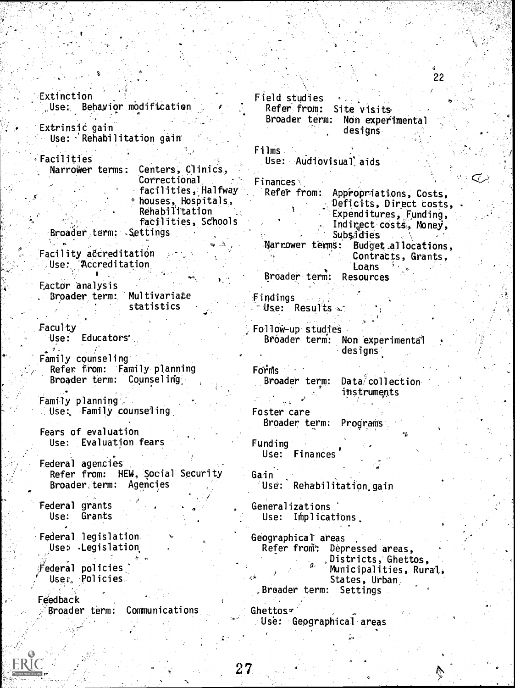Extinction Use: Behavior modification Extrinsic gain  $Use: \cdot$  Rehabilitation gain Facilities Narrower terms: Centers, Clinics, Correctional facilities, Halfway  $%$  houses, Hospitals, Rehabilitation facilities, Schools Broader term: .Sottings Facility accreditation Use: Accreditation . . Eactor analysis Broader term: Multivariate statistics Faculty Use: Educators'  $\sigma$ . Family counseling Refer from: Family planning Broader term: Counseling: Family planning, use:, Family counseling Fears of evaluation Use: Evaluation fears Federal agencies Refer from: HEW, Social Security Broader,term: Agencies Federal grants Use: Grants Federal legislation Use: . Legislation

Federal policies Uses., Policies.

Feedback 'Broader term: Communications Field studies Refer from: Site visits.

Broader term: Non experimental designs

Films Use: Audiovisual aids

**Finances** Refer from: Appropriations, Costs, Deficits, Direct costs, Expenditures, Funding,. Indirect costs, Money, Subsidies<br>Narrower terms: Budget Budget.allocations, ContraCts, Grants, 'Loans Broader .term: Resources

 $\mathfrak F$ indings  $\overline{\phantom{a}}$  Use: Results  $\overline{\phantom{a}}$ 

Follow-up studies Broader term: Non experimental designs:

 $F$ orms Broader term: Data collection

instruments

Foster care Broader term: Program's

Funding Use: Finances

Gain Use: Rehabilitation gain

Generalizations Use: Implications.

Geographical areas Refer from: Depressed areas, ,Districts, Ghettos, Municipalities, Rura States, Urban ,Broader term: Settings

Ghettos $\sigma$ Use: Geographical areas

 $70\,$   $\mu_{\rm{0}}$  of  $\mu_{\rm{0}}$  ,  $\mu_{\rm{0}}$  ,  $\mu_{\rm{0}}$  ,  $\mu_{\rm{0}}$ 

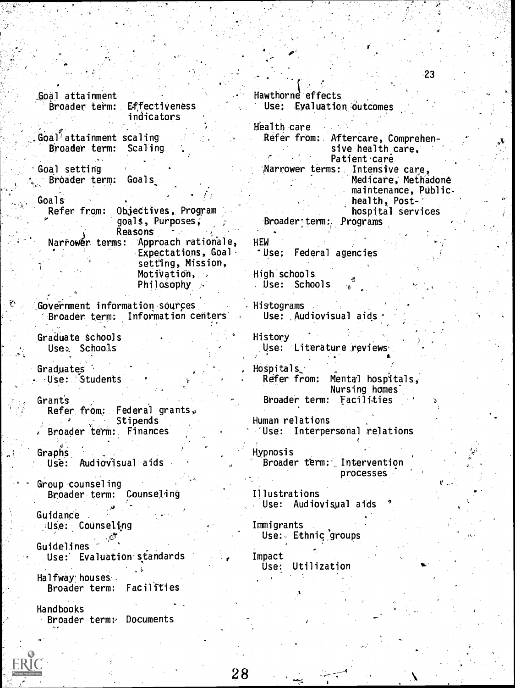Goal attainment broader term: Effectiveness indicators Goal<sup>'</sup> attainment scaling<br>Broader term: Scaling Broader term: Goal setting ° Broader term: Goals Goals Refer from: Objectives, Program goals, Purposes, Reasons<br>Narrower terms: App Approach rationale, Expectations, Goal. setting, Mission, Motivation, Philosophy Government information sources -Broader term: Information centers Graduate schools Use: Schools Graduates <sup>1</sup> .Use: Students Grants Refer from: Federal grants, Stipends . Broader term: Finances Graphs Use: Audiovisual aids Group ,counseling Broader term: Counseling Guidange . Use: Counseling Guidelines Use: Evaluation standards Halfway houses. Broader term: Facilities Handbooks Broader term:, Documents Hawthorne effects Use; Evaluation outcomes Health care Refer from: Aftercare, Comprehensive health care, Patient care 1Narrower terms: Intensive care, Medicare, Methadone maintenance, Publichealth, Posthospital services. Broader:term:, Programs HEW Use; Federal agencies High schools. Use: Schools Histograms Use: Audiovisual aids History Use: Literature reviews  $H$ ospitals, Refer from: Mental hospitals, Nursing homes-Broader term: facilities Human relations 'Use: Interpersonal relations Hypnosis Broader term: Intervention processes Illustrations Use: Audiovisual aids Immigrants Use: Ethnic groups Impact Use: Utilization

23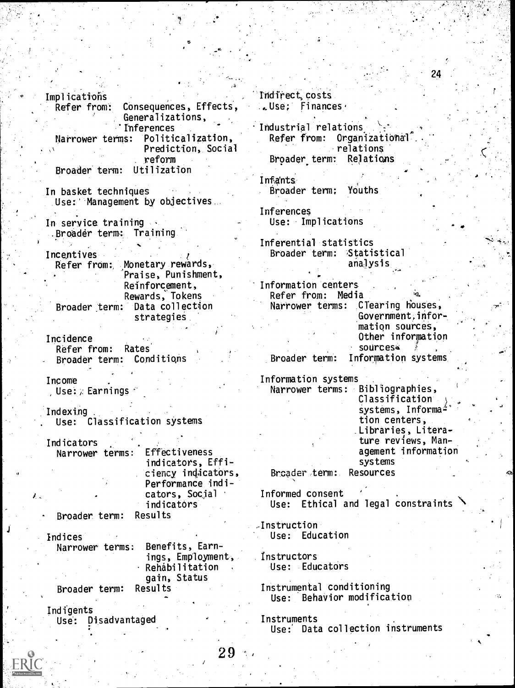Implications<br>Refer from: Consequences, Effects, Generalizations, Inferences Narrower terms: Politicalization, Prediction, Social reform Broader term: Utilization In basket techniques Use:' Management by objectives. In service training .Broader term: Training Incentives Refer from: Monetary rewards, Praise, Punishment, Reinforcement, Rewards, Tokens Broader term: Data collection strategies Incidence Refer from: Rates Broader term: Conditions Income ,Use:, Earnings Indexing . Use: Classification systems Indicators Narrower terms: Effectiveness indicators, Efficiency indicators, Performance indicators, Social indicators Broader term: Results **Indices** Narrower terms: Benefits, Earnings, Employment, Rehabilitation gain, Status Broader term: Results Indigents Use: Disadvantaged 29

Indirect, costs .Use; Finances

Industrial relations  $Refer$  from: Organizational relations Broader, term: Relations

24

Infants Broader term; Youths

Inferences Use: Implications

Inferential statistics Broader term: Statistical analysis

Information 'centers Refer from: Media<br>Narrower terms: C Clearing houses. Government.information sources, Other information sources<sup>a</sup> Broader term: Information systems,

Information systems

Narrower terms: Bibliographies, Classification systems, Informa $\pm$ tion centers, Libraries, Literature reviews, Management information systems Broader term: Resources

Informed consent Use: Ethical and legal constraints

-Instruction Use: Education

instructors Use: Educators

Instrumental conditioning Use: Behavior modification

Instruments Use: Data collection instruments



.1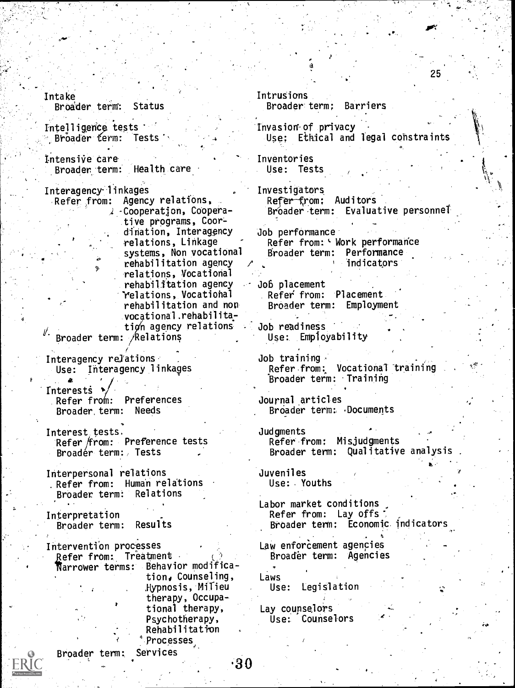Intake Broader term: Status Intelligence tests Broader term: Tests', Intensive care Broader term: Health care Interagency-linkages Agency relations,  $\lambda$  -Cooperation, Cooperative programs, Coordination, Interagency relations, Linkage systems, Non vocational rehabilitation agency relations, Vocational rehabilitation agency relations, Vocatiohal rehabilitation and non vocational.rehabilitation agency relations Broader term: /Relations Interagency relations Use: Interagency linkages 4 **Interests** Refer from: Preferences Broader, term: Needs Interest tests. Refer/from: Preference tests Broader term:, Tests Interpersonal relations . Refer from: Human relations Broader term: Relations Interpretation Broader term: Results Intervention processes Refer from: Treatment Narrower terms: Behavior modification, Counseling, Jlypnosis, Milieu therapy, Occupational therapy, Psychotherapy, Rehabilitation 4Processes Broader term: Services Intrusions Broader term; Barriers Invasion of privacy Use; Ethical and legal constraints Inventories . Use: Tests Investigators Refer -from; Auditors Broader term: Evaluative personnel Job performance Refer from: Work performance Broader term: Performance indicators Job placement Refer from: Placement<br>Broader term: Employment Broader term: Job readiness Use:. Employability Job training , Refer from: Vocational 'training Broader term: Training Journal articles Broader term:. Documents **Judgments** Refer from: Misjudgments Broader term: Qualitative analysis 1, Juveniles Use: Youths Labor market conditions Refer from: Lay offs Broader term: Economic indicators Law enforcement agencies Broader term: Agencies Laws Use: Legislation Lay counselors Use: Counselors

25

'30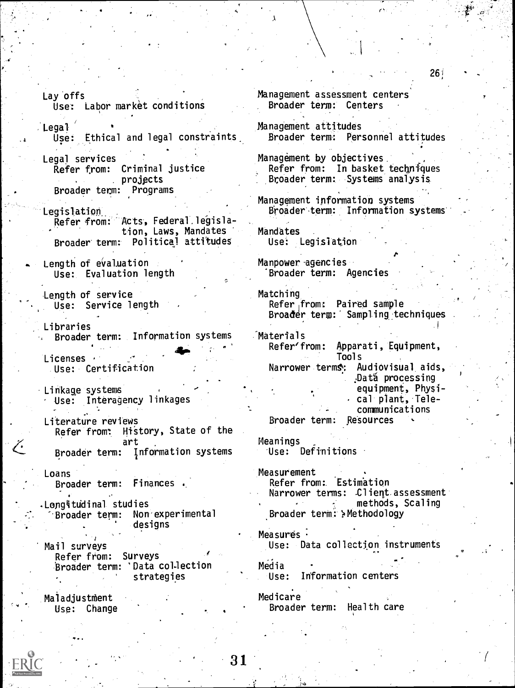Lay offs Use: Labor market conditions

Legal Use: Ethical and legal constraints

Legal services Refer from: Criminal justice projects Broader term: Programs

Legislation. Refer from: Acts, Federal.legisla- . tion, Laws, Mandates Broader' term: Political attitudes

Length of evaluation Use: Evaluation length

Length of service Use: Service length

Libraries Broader term: Information systems Materials<br>Refer'from:

Licenses · Use: Certification

Linkage systems Use: Interagency linkages

Literature reviews Refer from: History, State of the art Broader term: Information systems

Loans Broader term: Finances ..

Longitudinal studies Broader term: Non experimental designs

Mail surveys Refer from: Surveys Broader term: 'Data collection strategies

Maladjustment Use: Change Management assessment centers Broader term: Centers

Management attitudes Broader term: Personnel attitudes

Management by objectives. Refer from: In basket techniques Broader term: Systems analysis

Management information systems Broader term: Information systems

Mandates Use: Legislation

Manpower-agencies 'Broader term: Agencies

Matching Refer from: Paired sample Broader term: Sampling techniques 'Materials Apparati, Equipment, Tools Narrower terms: Audiovisual aids, :Dat6 processing equipment, Physi- - cal plant, Tele-

communications Broader term: Resources

Meanings Use: Definitions

Measurement Refer from: Estimation Narrower terms: Client assessment methods, Scaling Broader term: Methodology

Measures · Use: Data collection instruments

Media Use: Information centers

Medicare Broader term: Health care

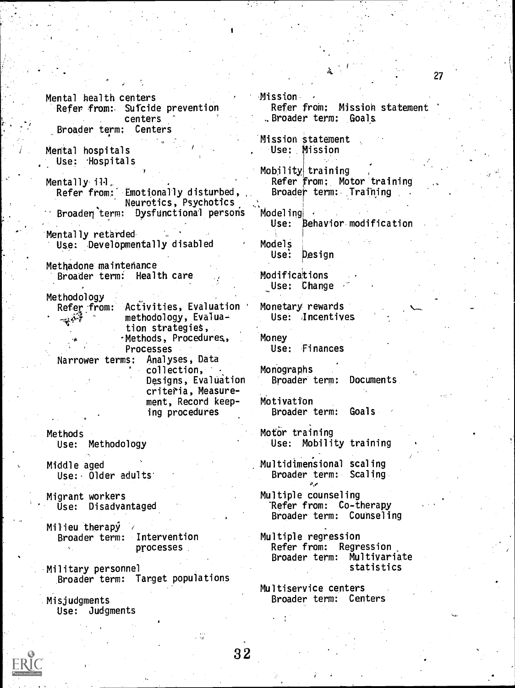Mental health centers Refer from:. Sufcide prevention centers<br>centers: Broader term;

Mental hospitals Use: Hospitals

Mentally-ill, Refer from: Emotionally disturbed, Neurotics, Psychotics Broaden term: Dysfunctional persons

Mentally retarded Use: Developmentally disabled

Methadone maintenance Broader term: Health care

Methodology<br>Refer from: Activities, Evaluation methodology, Evaluation strategies, -Methods, Procedures,, Processes

Narrower terms: Analyses, Data collection, - Designs, Evaluation criteria, Measurement, Record keep-

ing procedures

Methods Use: Methodology

Middle aged Use:- Older adults'

Migrant workers Use: Disadvantaged

Milieu therapy / Broader term: Intervention processes

Military personnel Broader term: Target populations

Misjudgments Use: Judgments Mission - Refer from: Mission statement ..Broader term: Goals

Mission statement Use: Mission

Mobility, training Refer from: Motor training Broade' term: Training

Modeling Use: Behavior modification

Models Use: Design

**Modifications** Use: Change

Monetary rewards Use: Incentives

Money Use: Finances

Monographs Broader term: Documents

Motivation Broader term: Goals

Motor training Use: Mobility training

Multidimensional scaling Broader term: Scaling

Multiple counseling "Refer from: Co-therapy Broader term: Counseling

Multiple regression Refer from: Regression Broader term: Multivariate statistics

Multiservice centers Broader term: Centers

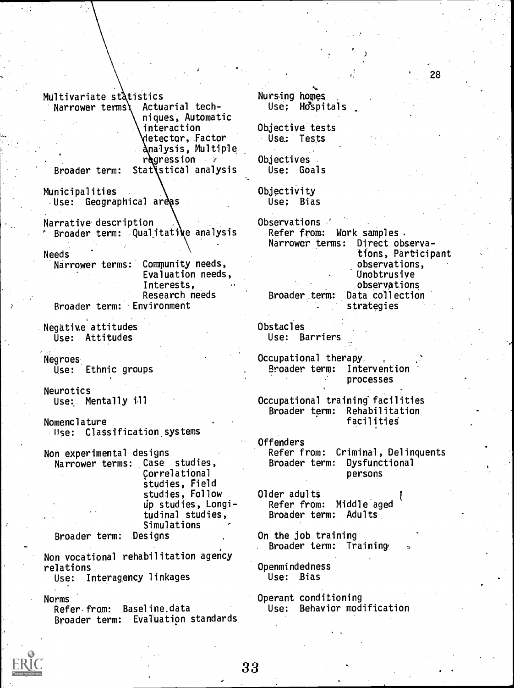Multivariate statistics<br>Narrower termsi Actuarial tech- $Narrower$  terms) niques, Automatic interaction detector, Factor nalysis, Multiple regression Broader term: Stat'stical analysis Municipalities Use: Geographical areas Narrative description Broader term: Qualitative analysis Refer from: Needs

Narrower terms: Community needs, Evaluation needs, Interests, Research needs

Broader term: Environment

Negative attitudes Use: Attitudes

Negroes Use: Ethnic groups

Neurotics Use: Mentally ill

Nomenclature Use: Classification systems

Non experimental designs Narrower terms: Case studies, Correlational studies, Field studies, Follow up studies, Longitudinal studies, Simulations<br>Designs

Broader term:

Non vocational rehabilitation agency relations

Use: Interagency linkages

Norms

Refer from: Baseline,data Broader term: Evaluation standards Nursing hopes Use; Hospitals

Objective tests Use: Tests

Objectives Use: Goals

Objectivity Use: Bias

Observations . Work samples .<br>ms: Direct observa-Narrower terms: tions, Participant observations, Unobtrusive observations Broader term: Data collection strategies

j

28

Obstacles Use: Barriers

Occupational therapy. Broader term: Intervention processes

Occupational training' facilities Broader term: Rehabilitation facilitieS

Offenders Refer from: Criminal, Delinquents Broader term: Dysfunctional persons

Older adults Refer from: Middle aged Broader term: Adults

On the job training Broader term: Training

Openmindedness Use: Bias

Operant conditioning Use: Behavior modification

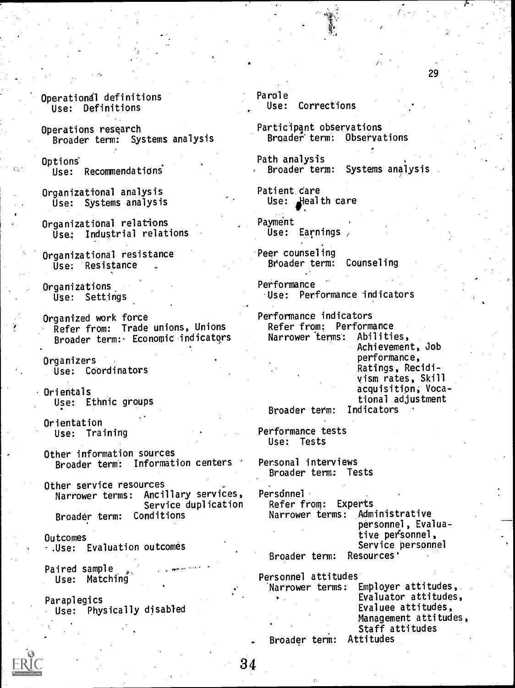- Operationdl definitions Use: Definitions
- Operations research Broader term: Systems analysis

Options Use: Recommendationi

- Organizational analysis Use: Systems analysis
- Organizational relations Use: Industrial relations
- Organizational resistance Use: Resistance
- Organizations. Use: Settings
- Organized work force Refer from: Trade unions, Unions Broader term: Economic indicatqrs
- Organizers Use: Coordinators
- Orientals Use: Ethnic groups.
- Orientation Use: Training
- Other information sources Broader term: Information centers '
- Other service resources Narrower terms: Ancillary services, Service duplication Broader term: Conditions

Outcomes

-.Use: Evaluation outcomes

Paired sample Use: Matching

Paraplegics Use: Physically disabled

- Parole Use: Corrections
- Participant observations Broader' term: Observations
- Path analysis Broader term: Systems analysis

29

- Patient.care Use: Health care
- Payment Use: Earnings
- Peer counseling Broader term: Counseling
- Performance Use: Performance indicators
- Performance indicators Refer from: Performance Narrower terms: Abilities, Achievement, Job performance, Ratings, Recidivism rates, Skill acquisition, Vocational adjustment

Broader term:

Performance tests Use: Tests

Personal interviews Broader term: Tests

 $\mathcal{L}$  :

- Persdnnel Refer from: Experts Narrower terms: Administrative personnel, Evaluative personnel, Service personnel Broader term: Resources'
- Personnel attitudes Narrower terms: Employer attitudes,. Evaluator attitudes, Evaluee attitudes, Management attitudes, Staff attitudes Broader term: Attitudes

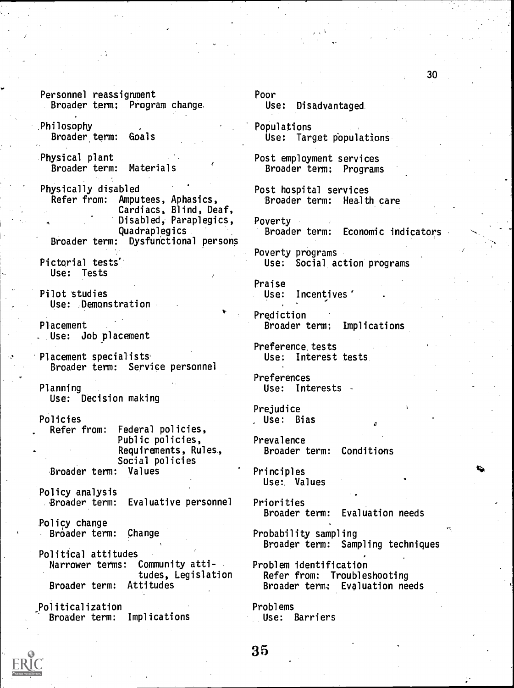Personnel reassignment Poor<br>Broader term: Program change. This expansion

Philosophy<br>Broader term: Goals Target Broader term: Goals

Physical plant<br>Broader term: Materials<br>Broader term: Program

Physically disabled<br>Refer from: Amputees, Aphasics, Broader term: Healt Cardiacs, Blind, Deaf, Disabled, Paraplegics, Poverty<br>Quadraplegics Broader term: Quadraplegics Broader term: Economic indicators Dysfunctional persons

Use: Tests

- Pilot studies Use: Demonstration
- Placement , Use: Job placement

Placement specialists' Broader term: Service personnel

Planning Use: Interests Use: Decision making

Policies<br>
Refer from: Federal policies, The Muse: Bias Federal policies, Public policies, Prevalence<br>Requirements, Rules, Broader Social policies Broader term: Values entitled and Principles

Policy analysis<br>Broader term:

**Policy change**<br>· Broader term: Change

Political attitudes<br>Marrower terms: Community atti-Narrower terms: Community atti-<br>tudes, Legislation Refer from: Troubles Broader term: Attitudes Broader term: Evaluation needs

Politicalization<br>′ Broader term: Implications Broader term:

Use: Disadvantaged.

Use: Target populations

Broader term: Programs

- Broader term: Health care
- 

Poverty programs Pictorial tests' and the Use: Social action programs

> Praise Use: Incentives

Prediction Broader term: Implications

Preference. tests Use: Interest tests.

Preferences

Prejudice

Broader term: Conditions

Use: Values

Evaluative personnel Priorities<br>Broader term: Evaluation needs

> Probability sampling Broader term: Sampling techniques

tudes, Legislation Refer from: Troubleshooting

Problems Use: Barriers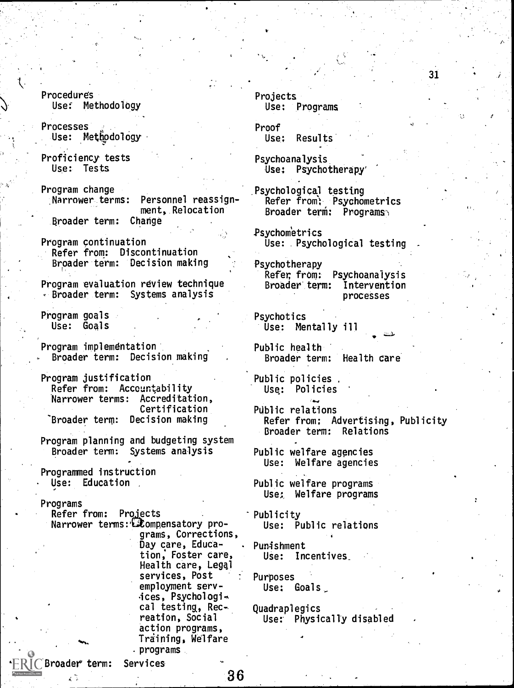Procedures User Methodology

Processes Use: Methodology

Proficiency tests Use: Tests

- Program change Personnel reassignment, Relocation Broader term: Change
- Program continuation Refer from: Discontinuation Broader term: Decision making
- Program evaluation review technique Broader term: Systems analysis

Program goals Use: Goals

Program implemdntation Broader term: Decision making

Program justification Refer from: Accountability Narrower terms: Accreditation, Certification "Broader term: Decision making

Program planning and budgeting system Broader term: Systems analysis

Programmed instruction Use: Education

Broader term: Services

Programs

Refer from: Projects Narrower terms:  $\mathbb{C}\mathcal{L}$ ompensatory programs, Corrections, Day care, Education; Foster care, Health care, Legal services, Post employment services, Psychologi<sub>e</sub>. cal testing, Rec- . reation, Social action programs, Training, Welfare .programs

Projects Use: Programs

Proof<br>Use: Results

Psychoanalysis Use: Psychotherapy'

Psychological testing Refer from: Psychometrics Broader term: Programs

31

Psychometrics Use: Psychological testing

Psychotherapy Refer, from: Psychoanalysis Broader term: Intervention processes

Psychotics Use: Mentally ill

Public health Broader term: Health care

Public policies Usq: Policies

PUblic relations Refer from; Advertising, Publicity Broader term: Relations

Public welfare agencies Use: Welfare agencies

Public welfare programs Use: Welfare programs

Publicity Use: Public relations

Pun4shment USe: Incentives\_

Purposes Use: Goals

Quadraplegics Use: Physically disabled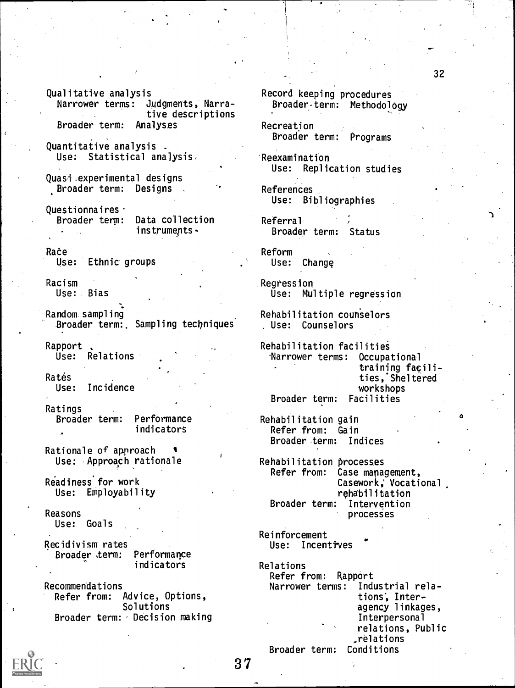Qualitative analysis Narrower terms: Judgments, Narrative descriptions Broader term: Analyses

Quantitative analysis . Use: Statistical analysis,

Quasi.experimental designs Broader term: Designs

Questionnaires<br>Broader term: Data collection Broader term: instruments

Race Use: Ethnic groups

Racism Use: Bias

Random sampling Broader term:. Sampling techniques

Rapport<br>Use: Relations

Rates Use: Incidence

Ratings Broader term: Performance indicators

Rationale of approach Use: Approach rationale

Readiness for work Use: Employability

Reasons Use: Goals

Recidivism rates Broader term: Performance indicators

Recommendations Refer from: Advice, Options, Solutions Broader term: Decision making



Recreation Broader term: Programs

Reexamination Use: Replication studies

References Use: Bibliographies

Referral Broader term: Status

Reform Use: Change

Regression Use: Multiple regression

Rehabilitation counselors Use: Counselors

Rehabilitation facilities Narrower terms: Occupational training facilities,'Sheltered workshops Broader term: Facilities

Rehabilitation gain Refer from: Gain Broader term: Indices

Rehabilitation processes Refer from: Case management, Casework; Vocational rehabilitation Broader term: Intervention processes

Reinforcement Use: Incentives

Relations Refer from: Rapport Narrower terms: Industrial relations; Interagency linkages, Interpersonal relations, Public relations Broader term: Conditions

Me"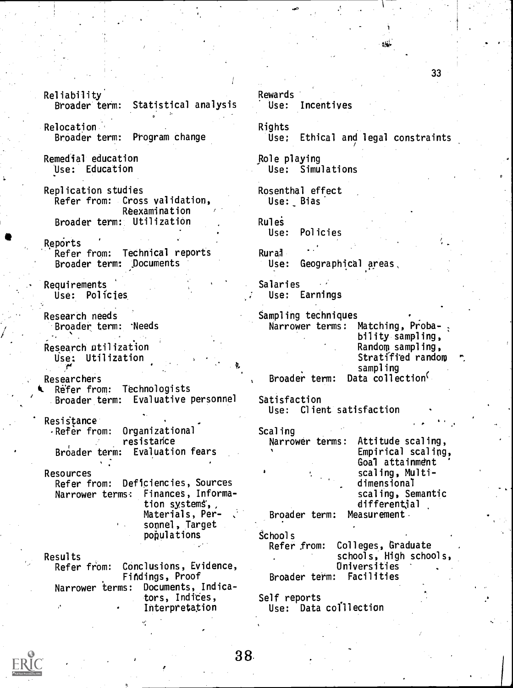Reliability<br>Broader term: Statistical analysis Use: Relocation , Broader term: Program change Remedial education Use: Education Replication studies Refer from: Cross validation, Reexamination Broader term: Utilization Reports Refer from: Technical reports Broader term: Documents Requirements Use: Policies Research needs Broader term: -Needs Research utilization Use: Utilization (.4 Researchers Refer from: Technologists Broader term: Evaluative personnel Resistance<br>PRefer from: Organizational resistance Broader term: Evaluation fears Resources Refer from: Deficiencies, Sources Narrower terms.: Finances, Information systems, Materials, Personnel, Target populations Results<br>Refer from: Conclusions, Evidence, Fitidings, Proof Narrower terms: Documents, Indicators, Indices, Interpretation

# Rewards Incentives Rights<br>:Use Ethical and legal constraints Role playing Use: Simulations Rosenthal effect Use: Bias **Rules** Use: Policies Rurai<br>Use: Geographical areas, Salaries Use: Earnings Sampling techniques Narrower terms: Matching, Proba-; bility sampling, Random sampling, Stratified random sampling Broader term: Data collection Satisfaction Use: Client satisfaction Scaling<br>Narrower terms: Attitude scaling, Empirical scaling, Goal attainment scaling, Multidimensional scaling, Semantic differential Broader term: Measurement. school s Refer from: Colleges, Graduate schools, High schools, Oniversities Broader term: Facilities Self reports

Use: Data colllection

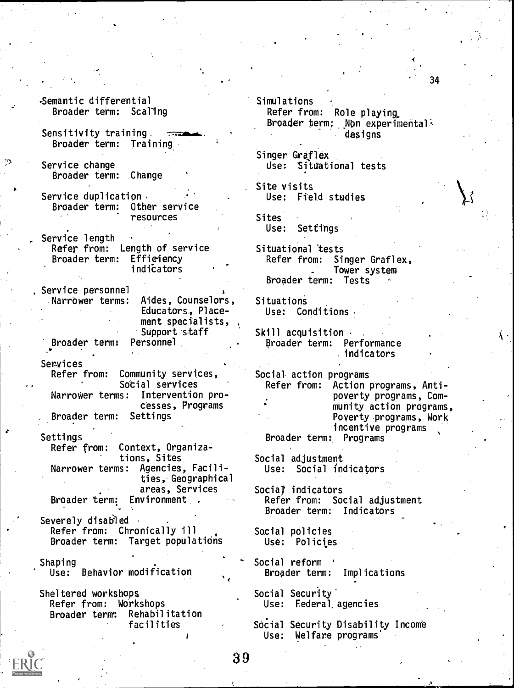#### -Semantic differential Broader term: Scaling

- Sensitivity training. Broader term: Training
- Service change Broader term: Change
- Service duplication<br>Broader term: Other service Broader term: resources
- Service length Refer from: Length of service Broader term: Efficiency indiCators
- Service personnel Narrower terms: Aides, Counselors, Educators, Placement specialists, , Support staff Broader term: Personnel

- Services<br>Refer from: Community services, Sotial services Narrower terms: Intervention processes, Programs . Broader term: Settings
- Settings Refer from: Context, Organizations, Sites Narrower terms: Agencies, Facilities, Geographical areas, Services Broader term: Environment .
- Severely disabled Refer from: Chronically ill Broader term: Target populations
- Shaping Use: Behavior modification.
- Sheltered workshops Refer from: Workshops Broader term: Rehabilitation facilities
- Simulations Refer from: Role playing. Broader term; Non experimental: designs
- Singer Graflex Use: Situational tests
- Site visits Use: Field studies
- Sites Use: Settings
- Situational 'tests Refer from: Singer Graflex, Tower system Broader term: Tests
- **Situations** Use: Conditions
- Skill acquisition  $\cdot$ Broader term: Performance indicators
- Social- action programs Refer from: Action programs, Antipoverty programs, Community action programs, Poverty programs, Work incentive programs Broader term: Programs
- Social adjustment Use: Social indicators
- Social indicators Refer from: Social adjustment Broader term: Indicators
- Social policies Use: Policies
- Social reform ' Broader term: Implications
- Social Security' Use: Federal, agencies
- Social Security Disability Income Use: Welfare programs'



Ä.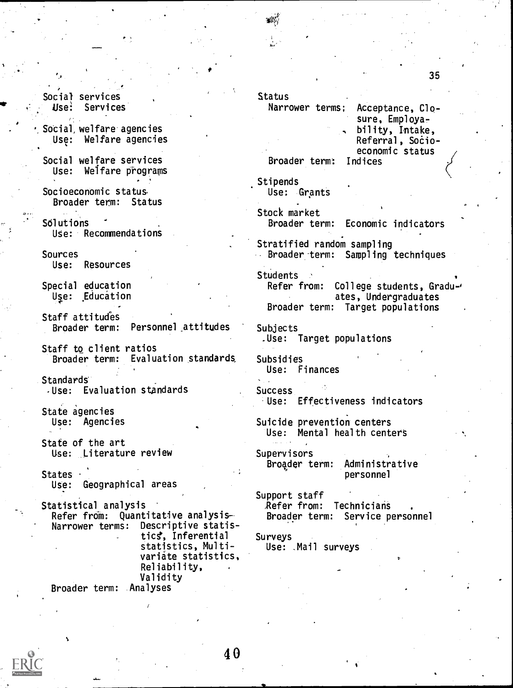, Social services Use: Services

Social, welfare agencies Use: Welfare agencies

Social welfare services Use: Welfare programs

Socioeconomic status, Broader term: Status

Solutions Use: Recommendations

Sources Use: Resources

Special education Use: Education

Staff attitudes Broader term: Personnel \_attitudes

Staff to client ratios Broader term: Evaluation standards.

Standards

-Use: Evaluation standards

State agencies Use: Agencies

State of the art Use: Literature review

States · Use: Geographical areas

Statistical analysis Refer from: Quantitative analysis-Narrower terms: Descriptive statis tics, Inferential statistics, Multivariate statistics, Reliability, Validity

Broader term: Analyses

Status

Narrower terms;

Broader term: Indices

Stipends Use: Grants

Stock market Broader term: Economic indicators

Stratified random sampling Broader-term: Sampling techniques

**Students** 

Refer from: College students, Graduates, Undergraduates Broader term: Target populations

Subjects .Use: Target populations

Subsidies Use: Finances

Success Use: Effectiveness indicators

Suicide prevention centers Use: Mental health centers

Supervisors Broader term: Administrative personnel

Support staff Refer from: Technicians Broader term: Service personnel

Surveys Use: .Mail surveys



35

Acceptance, Closure, Employability, Intake, Referral, Socioeconomic status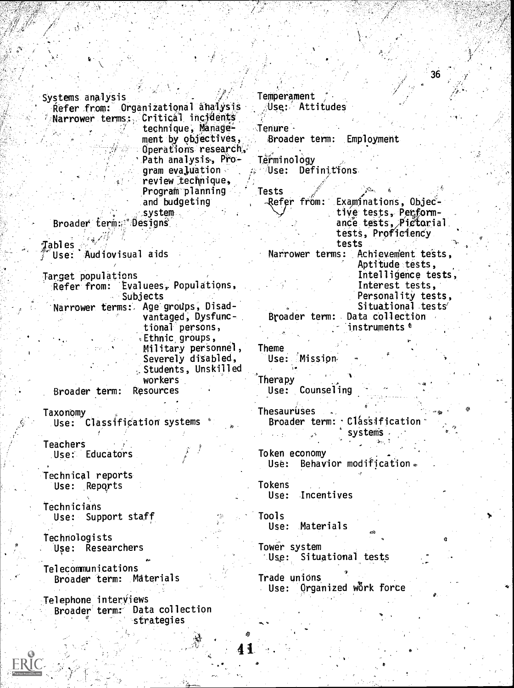Systems analysis<br>fefer from: Organizational analysis fluse: Attitudes Refer from: Organizational analysis Narrower terms: Critical incidents technique, Manage= ment by objectives, Operations research, Path analysis, Program evaluation review technique, Program planning and budgeting system Broader term: Designs gables 7Use: Audiovisual aids Target populations Refer from: Evaluees, Populations, **Subjects** Narrower terms:, Age groUps, Disadvantaged, Dysfunctional persons, ,Ethnic groups, Military personnel, Severely disabled, ,Students, Unskilled workers<br>Resources Broader term: Taxonomy Use: Classification systems **Teachers** Use: Educators Technical reports Use: Reports Technicians Use: Support staff Technologists Use: Researchers Telecommunications Broader term: Materials Telephone interviews Broader term: Data collection strategies Tenure -;Broader term: Employment **Terminology**  $\approx$  Use: Definitions. Tests -Refer from: Examinations, Objective tests, Performance tests, Pictorial tests, Proficiency tests Narrower terms: Achievement tests, Aptitude tests, Intelligence tests, Interest tests, Personality tests, Situational tests' Broader term: Data collection instruments  $t$ Theme Use: Mission Therapy Use: Counseling Thesauruses Broader term: Classification systems. Token economy Use: Behavior modification. Tokens Use: Incentives Tools Use: Materials Tower system Use: Situational tests Trade unions Use: Organized wörk force  $\theta$ . . . . . a

36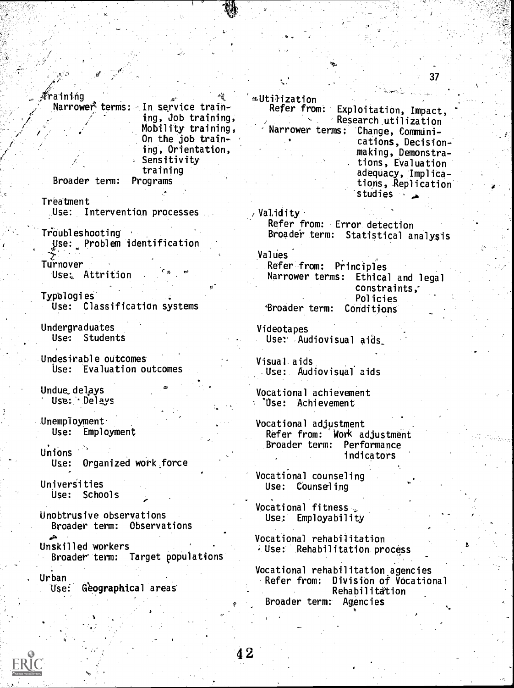#### raining

Narrower<sup>®</sup> terms: In service training, Job training, Mobility training, Warrower terms; On the job training, Orientation, Sensitivity training

I

续

Broader term: Programs

Treatment Use: Intervention processes

 $T_{\text{rouble}}$  shooting Use: Problem identification

Turnover Use: Attrition

Typologies Use: Classification systems

Undergraduates Use: Students

Undesirable outcomes Use: Evaluation outcomes

Undue delays<br>Use: Delays

Unemployment Use: Employment

Unions Use: Organized work force

Universities Use: Schools

Unobtrusive observations Broader term: Observations

Unskilled workers Broader term: Target populations

Urban

Geographical areas

∞Utiŀization Refer from: Exploitation, Impact, , Research utilization Change, Communications, Decisionmaking, Demonstra- . tions, Evaluation adequacy, Implications, Replication studies  $\overline{4}$ 

37

 $\wedge$  Validity  $\cdot$ -Refer from: Error detection Broader term: Statistical analysis

Values<sup>1</sup> Refer from: Principles Narrower terms: Ethical and legal constraints,- Policies 'Broader term: Conditions

Videotapes Use: Audiovisual aids

Visual aids Use:. Audiovisual aids

Vocational achievement "Ose: Achievement

Vocational adjustment Refer from: 'Work adjustment Broader term: Performance indicators

Vocational counseling Use: Counseling

Vocational fitness Use: Employability

Vocational rehabilitation Use: Rehabilitation process

Vocational rehabilitation agencies Refer from; Division of Vocational Rehabilitation Broader term: Agencies